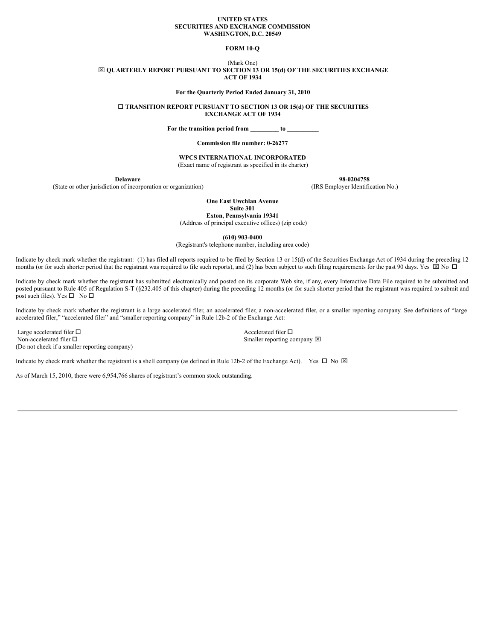#### **UNITED STATES SECURITIES AND EXCHANGE COMMISSION WASHINGTON, D.C. 20549**

#### **FORM 10-Q**

#### (Mark One) x **QUARTERLY REPORT PURSUANT TO SECTION 13 OR 15(d) OF THE SECURITIES EXCHANGE ACT OF 1934**

**For the Quarterly Period Ended January 31, 2010**

o **TRANSITION REPORT PURSUANT TO SECTION 13 OR 15(d) OF THE SECURITIES EXCHANGE ACT OF 1934**

**For the transition period from \_\_\_\_\_\_\_\_\_ to \_\_\_\_\_\_\_\_\_\_**

**Commission file number: 0-26277**

**WPCS INTERNATIONAL INCORPORATED**

(Exact name of registrant as specified in its charter)

(State or other jurisdiction of incorporation or organization) (IRS Employer Identification No.)

**Delaware 98-0204758**

**One East Uwchlan Avenue Suite 301**

**Exton, Pennsylvania 19341** (Address of principal executive offices) (zip code)

**(610) 903-0400**

(Registrant's telephone number, including area code)

Indicate by check mark whether the registrant: (1) has filed all reports required to be filed by Section 13 or 15(d) of the Securities Exchange Act of 1934 during the preceding 12 months (or for such shorter period that the registrant was required to file such reports), and (2) has been subject to such filing requirements for the past 90 days. Yes  $\overline{\boxtimes}$  No  $\overline{\Box}$ 

Indicate by check mark whether the registrant has submitted electronically and posted on its corporate Web site, if any, every Interactive Data File required to be submitted and posted pursuant to Rule 405 of Regulation S-T (§232.405 of this chapter) during the preceding 12 months (or for such shorter period that the registrant was required to submit and post such files). Yes  $\square$  No  $\square$ 

Indicate by check mark whether the registrant is a large accelerated filer, an accelerated filer, a non-accelerated filer, or a smaller reporting company. See definitions of "large accelerated filer," "accelerated filer" and "smaller reporting company" in Rule 12b-2 of the Exchange Act:

Large accelerated filer  $\Box$  <br>  $\label{eq:accelerated} \text{Accelerated filter } \Box$ Non-accelerated filer  $\square$  Smaller reporting company  $\square$ (Do not check if a smaller reporting company)

Indicate by check mark whether the registrant is a shell company (as defined in Rule 12b-2 of the Exchange Act). Yes  $\Box$  No  $\boxtimes$ 

As of March 15, 2010, there were 6,954,766 shares of registrant's common stock outstanding.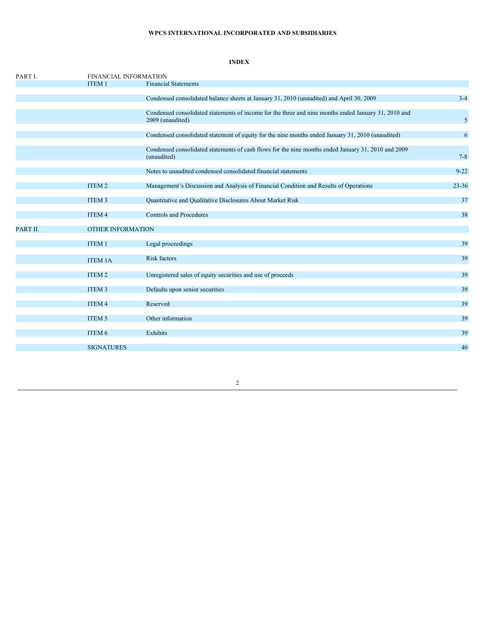| PART I.  |                          | FINANCIAL INFORMATION                                                                                                    |                |  |  |  |  |  |  |  |  |
|----------|--------------------------|--------------------------------------------------------------------------------------------------------------------------|----------------|--|--|--|--|--|--|--|--|
|          | ITEM 1                   | <b>Financial Statements</b>                                                                                              |                |  |  |  |  |  |  |  |  |
|          |                          |                                                                                                                          |                |  |  |  |  |  |  |  |  |
|          |                          | Condensed consolidated balance sheets at January 31, 2010 (unaudited) and April 30, 2009                                 | $3 - 4$        |  |  |  |  |  |  |  |  |
|          |                          |                                                                                                                          |                |  |  |  |  |  |  |  |  |
|          |                          | Condensed consolidated statements of income for the three and nine months ended January 31, 2010 and<br>2009 (unaudited) | 5 <sup>5</sup> |  |  |  |  |  |  |  |  |
|          |                          |                                                                                                                          |                |  |  |  |  |  |  |  |  |
|          |                          | Condensed consolidated statement of equity for the nine months ended January 31, 2010 (unaudited)                        | 6              |  |  |  |  |  |  |  |  |
|          |                          |                                                                                                                          |                |  |  |  |  |  |  |  |  |
|          |                          | Condensed consolidated statements of cash flows for the nine months ended January 31, 2010 and 2009                      |                |  |  |  |  |  |  |  |  |
|          |                          | (unaudited)                                                                                                              | $7 - 8$        |  |  |  |  |  |  |  |  |
|          |                          |                                                                                                                          |                |  |  |  |  |  |  |  |  |
|          |                          | Notes to unaudited condensed consolidated financial statements                                                           | $9 - 22$       |  |  |  |  |  |  |  |  |
|          |                          |                                                                                                                          |                |  |  |  |  |  |  |  |  |
|          | ITEM <sub>2</sub>        | Management's Discussion and Analysis of Financial Condition and Results of Operations                                    | $23 - 36$      |  |  |  |  |  |  |  |  |
|          | ITEM <sub>3</sub>        | Quantitative and Qualitative Disclosures About Market Risk                                                               | 37             |  |  |  |  |  |  |  |  |
|          |                          |                                                                                                                          |                |  |  |  |  |  |  |  |  |
|          | ITEM 4                   | <b>Controls and Procedures</b>                                                                                           | 38             |  |  |  |  |  |  |  |  |
|          |                          |                                                                                                                          |                |  |  |  |  |  |  |  |  |
| PART II. | <b>OTHER INFORMATION</b> |                                                                                                                          |                |  |  |  |  |  |  |  |  |
|          |                          |                                                                                                                          |                |  |  |  |  |  |  |  |  |
|          | ITEM 1                   | Legal proceedings                                                                                                        | 39             |  |  |  |  |  |  |  |  |
|          |                          |                                                                                                                          |                |  |  |  |  |  |  |  |  |
|          | <b>ITEM 1A</b>           | Risk factors                                                                                                             | 39             |  |  |  |  |  |  |  |  |
|          |                          |                                                                                                                          |                |  |  |  |  |  |  |  |  |
|          | ITEM 2                   | Unregistered sales of equity securities and use of proceeds                                                              | 39             |  |  |  |  |  |  |  |  |
|          | ITEM <sub>3</sub>        | Defaults upon senior securities                                                                                          | 39             |  |  |  |  |  |  |  |  |
|          |                          |                                                                                                                          |                |  |  |  |  |  |  |  |  |
|          | ITEM 4                   | Reserved                                                                                                                 | 39             |  |  |  |  |  |  |  |  |
|          |                          |                                                                                                                          |                |  |  |  |  |  |  |  |  |
|          | ITEM 5                   | Other information                                                                                                        | 39             |  |  |  |  |  |  |  |  |
|          |                          |                                                                                                                          |                |  |  |  |  |  |  |  |  |
|          | ITEM 6                   | Exhibits                                                                                                                 | 39             |  |  |  |  |  |  |  |  |
|          |                          |                                                                                                                          |                |  |  |  |  |  |  |  |  |
|          | <b>SIGNATURES</b>        |                                                                                                                          | 40             |  |  |  |  |  |  |  |  |

# **INDEX**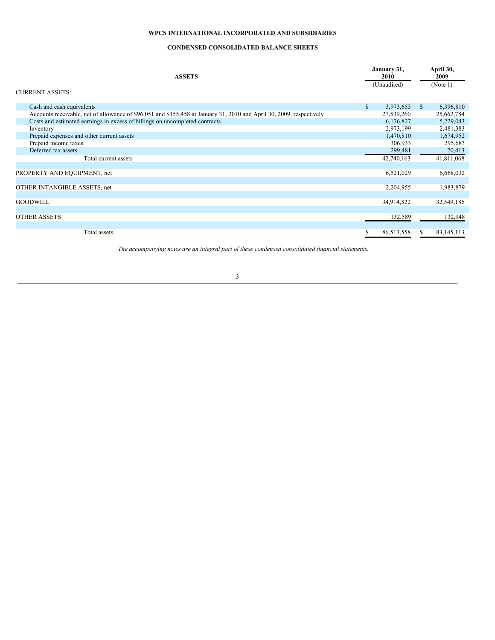# **CONDENSED CONSOLIDATED BALANCE SHEETS**

| <b>ASSETS</b>                                                                                                        |              | January 31,<br>2010 |               | April 30,<br>2009 |
|----------------------------------------------------------------------------------------------------------------------|--------------|---------------------|---------------|-------------------|
|                                                                                                                      | (Unaudited)  |                     |               | (Note 1)          |
| <b>CURRENT ASSETS:</b>                                                                                               |              |                     |               |                   |
|                                                                                                                      |              |                     |               |                   |
| Cash and cash equivalents                                                                                            | $\mathbb{S}$ | 3,973,653           | <sup>\$</sup> | 6,396,810         |
| Accounts receivable, net of allowance of \$96,051 and \$155,458 at January 31, 2010 and April 30, 2009, respectively |              | 27,539,260          |               | 25,662,784        |
| Costs and estimated earnings in excess of billings on uncompleted contracts                                          |              | 6,176,827           |               | 5,229,043         |
| Inventory                                                                                                            |              | 2,973,199           |               | 2,481,383         |
| Prepaid expenses and other current assets                                                                            |              | 1,470,810           |               | 1,674,952         |
| Prepaid income taxes                                                                                                 |              | 306,933             |               | 295,683           |
| Deferred tax assets                                                                                                  |              | 299,481             |               | 70,413            |
| Total current assets                                                                                                 |              | 42,740,163          |               | 41,811,068        |
|                                                                                                                      |              |                     |               |                   |
| PROPERTY AND EQUIPMENT, net                                                                                          |              | 6,521,029           |               | 6,668,032         |
|                                                                                                                      |              |                     |               |                   |
| OTHER INTANGIBLE ASSETS, net                                                                                         |              | 2,204,955           |               | 1,983,879         |
|                                                                                                                      |              |                     |               |                   |
| <b>GOODWILL</b>                                                                                                      |              | 34,914,822          |               | 32,549,186        |
|                                                                                                                      |              |                     |               |                   |
| <b>OTHER ASSETS</b>                                                                                                  |              | 132,589             |               | 132,948           |
|                                                                                                                      |              |                     |               |                   |
| Total assets                                                                                                         | S            | 86,513,558          |               | 83, 145, 113      |

*The accompanying notes are an integral part of these condensed consolidated financial statements.*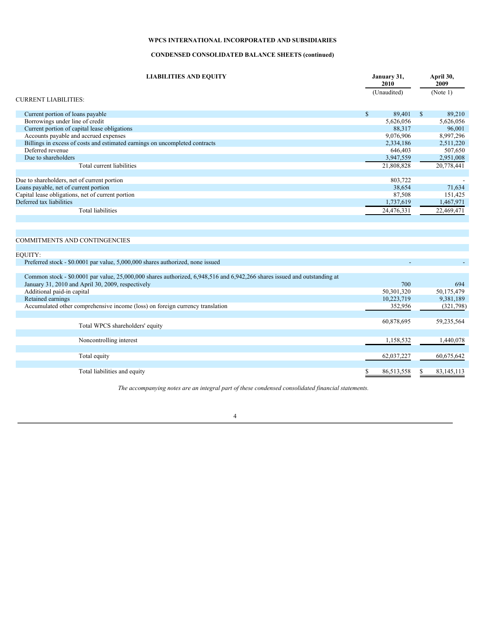# **CONDENSED CONSOLIDATED BALANCE SHEETS (continued)**

| <b>LIABILITIES AND EQUITY</b>                                                                                                                                                  |              | January 31,<br>2010 |              | April 30,<br>2009 |  |
|--------------------------------------------------------------------------------------------------------------------------------------------------------------------------------|--------------|---------------------|--------------|-------------------|--|
| <b>CURRENT LIABILITIES:</b>                                                                                                                                                    |              | (Unaudited)         |              | (Note 1)          |  |
| Current portion of loans payable                                                                                                                                               | $\mathbb{S}$ | 89,401              | $\mathbb{S}$ | 89,210            |  |
| Borrowings under line of credit                                                                                                                                                |              | 5,626,056           |              | 5,626,056         |  |
| Current portion of capital lease obligations                                                                                                                                   |              | 88,317              |              | 96,001            |  |
| Accounts payable and accrued expenses                                                                                                                                          |              | 9,076,906           |              | 8,997,296         |  |
| Billings in excess of costs and estimated earnings on uncompleted contracts                                                                                                    |              | 2,334,186           |              | 2,511,220         |  |
| Deferred revenue                                                                                                                                                               |              | 646,403             |              | 507,650           |  |
| Due to shareholders                                                                                                                                                            |              | 3,947,559           |              | 2,951,008         |  |
| Total current liabilities                                                                                                                                                      |              | 21,808,828          |              | 20,778,441        |  |
| Due to shareholders, net of current portion                                                                                                                                    |              | 803,722             |              |                   |  |
| Loans payable, net of current portion                                                                                                                                          |              | 38,654              |              | 71,634            |  |
| Capital lease obligations, net of current portion                                                                                                                              |              | 87,508              |              | 151,425           |  |
| Deferred tax liabilities                                                                                                                                                       |              | 1,737,619           |              | 1,467,971         |  |
| <b>Total liabilities</b>                                                                                                                                                       |              | 24,476,331          |              | 22,469,471        |  |
| COMMITMENTS AND CONTINGENCIES                                                                                                                                                  |              |                     |              |                   |  |
| EOUITY:                                                                                                                                                                        |              |                     |              |                   |  |
| Preferred stock - \$0.0001 par value, 5,000,000 shares authorized, none issued                                                                                                 |              |                     |              |                   |  |
| Common stock - \$0.0001 par value, 25,000,000 shares authorized, 6,948,516 and 6,942,266 shares issued and outstanding at<br>January 31, 2010 and April 30, 2009, respectively |              | 700                 |              | 694               |  |
| Additional paid-in capital                                                                                                                                                     |              | 50,301,320          |              | 50,175,479        |  |
| Retained earnings                                                                                                                                                              |              | 10,223,719          |              | 9,381,189         |  |
| Accumulated other comprehensive income (loss) on foreign currency translation                                                                                                  |              | 352,956             |              | (321,798)         |  |
| Total WPCS shareholders' equity                                                                                                                                                |              | 60,878,695          |              | 59,235,564        |  |
| Noncontrolling interest                                                                                                                                                        |              | 1,158,532           |              | 1,440,078         |  |
| Total equity                                                                                                                                                                   |              | 62,037,227          |              | 60,675,642        |  |
| Total liabilities and equity                                                                                                                                                   | S            | 86,513,558          |              | 83,145,113        |  |

*The accompanying notes are an integral part of these condensed consolidated financial statements.*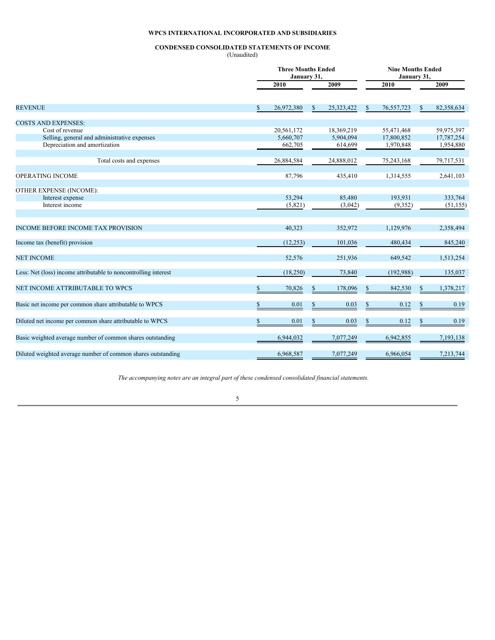# **CONDENSED CONSOLIDATED STATEMENTS OF INCOME**

(Unaudited)

|                                                                 |              | <b>Three Months Ended</b><br>January 31, |               |            |              | <b>Nine Months Ended</b><br>January 31, |    |            |  |
|-----------------------------------------------------------------|--------------|------------------------------------------|---------------|------------|--------------|-----------------------------------------|----|------------|--|
|                                                                 |              | 2010                                     |               | 2009       |              | 2010                                    |    | 2009       |  |
| <b>REVENUE</b>                                                  | $\mathbf{s}$ | 26,972,380                               | $\mathcal{S}$ | 25,323,422 | $\mathbb{S}$ | 76,557,723                              | \$ | 82,358,634 |  |
| <b>COSTS AND EXPENSES:</b>                                      |              |                                          |               |            |              |                                         |    |            |  |
| Cost of revenue                                                 |              | 20,561,172                               |               | 18,369,219 |              | 55,471,468                              |    | 59,975,397 |  |
| Selling, general and administrative expenses                    |              | 5,660,707                                |               | 5,904,094  |              | 17,800,852                              |    | 17,787,254 |  |
| Depreciation and amortization                                   |              | 662,705                                  |               | 614,699    |              | 1,970,848                               |    | 1,954,880  |  |
| Total costs and expenses                                        |              | 26,884,584                               |               | 24,888,012 |              | 75,243,168                              |    | 79,717,531 |  |
| <b>OPERATING INCOME</b>                                         |              | 87,796                                   |               | 435,410    |              | 1,314,555                               |    | 2,641,103  |  |
| OTHER EXPENSE (INCOME):                                         |              |                                          |               |            |              |                                         |    |            |  |
| Interest expense                                                |              | 53,294                                   |               | 85,480     |              | 193,931                                 |    | 333,764    |  |
| Interest income                                                 |              | (5,821)                                  |               | (3,042)    |              | (9,352)                                 |    | (51, 155)  |  |
| <b>INCOME BEFORE INCOME TAX PROVISION</b>                       |              | 40.323                                   |               | 352,972    |              | 1,129,976                               |    | 2,358,494  |  |
| Income tax (benefit) provision                                  |              | (12, 253)                                |               | 101,036    |              | 480,434                                 |    | 845,240    |  |
| <b>NET INCOME</b>                                               |              | 52,576                                   |               | 251,936    |              | 649,542                                 |    | 1,513,254  |  |
| Less: Net (loss) income attributable to noncontrolling interest |              | (18,250)                                 |               | 73,840     |              | (192,988)                               |    | 135,037    |  |
| NET INCOME ATTRIBUTABLE TO WPCS                                 | \$           | 70,826                                   | <sup>\$</sup> | 178,096    | S            | 842,530                                 |    | 1,378,217  |  |
| Basic net income per common share attributable to WPCS          | $\mathbf S$  | 0.01                                     | <sup>\$</sup> | 0.03       | \$           | 0.12                                    | \$ | 0.19       |  |
| Diluted net income per common share attributable to WPCS        | S            | 0.01                                     | \$            | 0.03       | \$           | 0.12                                    | S  | 0.19       |  |
| Basic weighted average number of common shares outstanding      |              | 6,944,032                                |               | 7,077,249  |              | 6,942,855                               |    | 7,193,138  |  |
|                                                                 |              |                                          |               |            |              |                                         |    |            |  |
| Diluted weighted average number of common shares outstanding    |              | 6,968,587                                |               | 7,077,249  |              | 6,966,054                               |    | 7,213,744  |  |

*The accompanying notes are an integral part of these condensed consolidated financial statements.*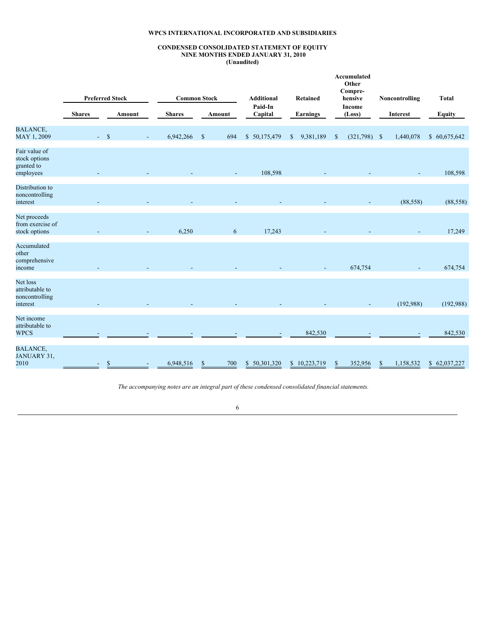#### **CONDENSED CONSOLIDATED STATEMENT OF EQUITY NINE MONTHS ENDED JANUARY 31, 2010 (Unaudited)**

|                                                           |               | <b>Preferred Stock</b>          | <b>Common Stock</b> |                                                 |     | <b>Additional</b>           | <b>Retained</b>  |            |                 | Accumulated<br>Other<br>Compre-<br>hensive |               | Noncontrolling | <b>Total</b> |
|-----------------------------------------------------------|---------------|---------------------------------|---------------------|-------------------------------------------------|-----|-----------------------------|------------------|------------|-----------------|--------------------------------------------|---------------|----------------|--------------|
|                                                           | <b>Shares</b> | Amount                          | <b>Shares</b>       | Paid-In<br>Capital<br><b>Earnings</b><br>Amount |     |                             | Income<br>(Loss) |            | <b>Interest</b> |                                            | <b>Equity</b> |                |              |
| BALANCE,<br>MAY 1, 2009                                   | a.            | <sup>\$</sup>                   | 6,942,266           | $\mathbb{S}$                                    | 694 | \$50,175,479                | <sup>\$</sup>    | 9,381,189  | $\mathbb{S}$    | (321,798)                                  | $\mathbb{S}$  | 1,440,078      | \$60,675,642 |
| Fair value of<br>stock options<br>granted to<br>employees |               |                                 |                     |                                                 |     | 108,598                     |                  |            |                 |                                            |               |                | 108,598      |
| Distribution to<br>noncontrolling<br>interest             |               |                                 |                     |                                                 |     |                             |                  |            |                 |                                            |               | (88, 558)      | (88, 558)    |
| Net proceeds<br>from exercise of<br>stock options         |               |                                 | 6,250               |                                                 | 6   | 17,243                      |                  |            |                 |                                            |               |                | 17,249       |
| Accumulated<br>other<br>comprehensive<br>income           |               |                                 |                     |                                                 |     |                             |                  |            |                 | 674,754                                    |               |                | 674,754      |
| Net loss<br>attributable to<br>noncontrolling<br>interest |               |                                 |                     |                                                 |     |                             |                  |            |                 |                                            |               | (192,988)      | (192,988)    |
| Net income<br>attributable to<br><b>WPCS</b>              |               |                                 |                     |                                                 |     |                             |                  | 842,530    |                 |                                            |               |                | 842,530      |
| <b>BALANCE,</b><br>JANUARY 31,<br>2010                    |               | $\frac{\mathsf{s}}{\mathsf{s}}$ | 6,948,516           | \$                                              | 700 | 50,301,320<br><sup>\$</sup> | \$               | 10,223,719 | S               | 352,956                                    | \$            | 1,158,532      | \$62,037,227 |

*The accompanying notes are an integral part of these condensed consolidated financial statements.*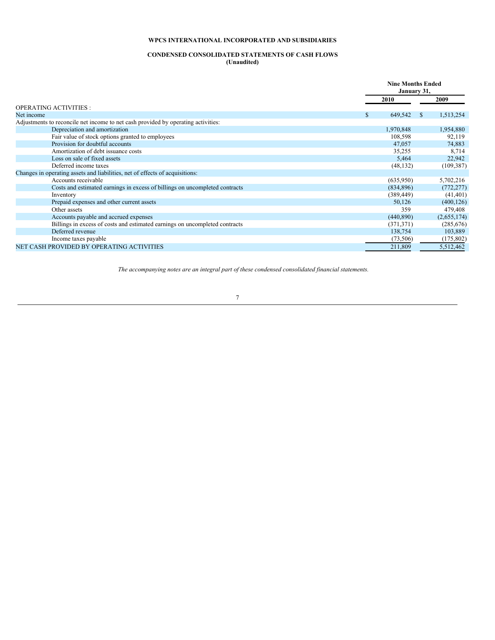# **CONDENSED CONSOLIDATED STATEMENTS OF CASH FLOWS (Unaudited)**

|                                                                                   | <b>Nine Months Ended</b><br>January 31, |               |             |  |
|-----------------------------------------------------------------------------------|-----------------------------------------|---------------|-------------|--|
|                                                                                   | 2010                                    |               | 2009        |  |
| <b>OPERATING ACTIVITIES:</b>                                                      |                                         |               |             |  |
| Net income                                                                        | \$<br>649,542                           | <sup>\$</sup> | 1,513,254   |  |
| Adjustments to reconcile net income to net cash provided by operating activities: |                                         |               |             |  |
| Depreciation and amortization                                                     | 1,970,848                               |               | 1,954,880   |  |
| Fair value of stock options granted to employees                                  | 108,598                                 |               | 92,119      |  |
| Provision for doubtful accounts                                                   | 47,057                                  |               | 74,883      |  |
| Amortization of debt issuance costs                                               | 35,255                                  |               | 8,714       |  |
| Loss on sale of fixed assets                                                      | 5,464                                   |               | 22,942      |  |
| Deferred income taxes                                                             | (48, 132)                               |               | (109, 387)  |  |
| Changes in operating assets and liabilities, net of effects of acquisitions:      |                                         |               |             |  |
| Accounts receivable                                                               | (635,950)                               |               | 5,702,216   |  |
| Costs and estimated earnings in excess of billings on uncompleted contracts       | (834, 896)                              |               | (772, 277)  |  |
| Inventory                                                                         | (389, 449)                              |               | (41, 401)   |  |
| Prepaid expenses and other current assets                                         | 50,126                                  |               | (400, 126)  |  |
| Other assets                                                                      | 359                                     |               | 479,408     |  |
| Accounts payable and accrued expenses                                             | (440, 890)                              |               | (2,655,174) |  |
| Billings in excess of costs and estimated earnings on uncompleted contracts       | (371, 371)                              |               | (285, 676)  |  |
| Deferred revenue                                                                  | 138,754                                 |               | 103,889     |  |
| Income taxes payable                                                              | (73,506)                                |               | (175, 802)  |  |
| NET CASH PROVIDED BY OPERATING ACTIVITIES                                         | 211,809                                 |               | 5,512,462   |  |

*The accompanying notes are an integral part of these condensed consolidated financial statements.*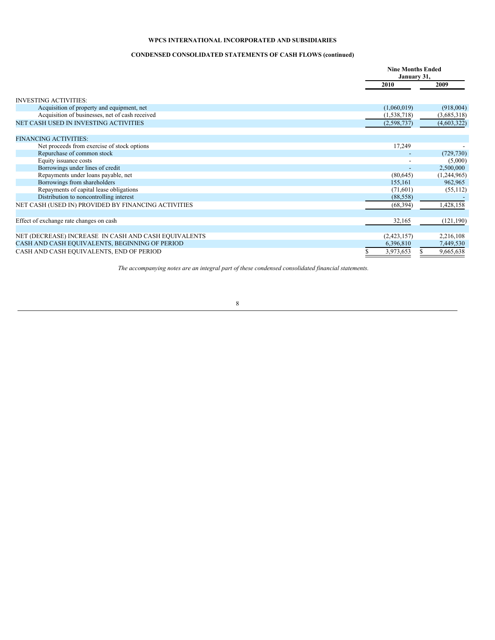# **CONDENSED CONSOLIDATED STATEMENTS OF CASH FLOWS (continued)**

|                                                      | <b>Nine Months Ended</b><br>January 31, |             |
|------------------------------------------------------|-----------------------------------------|-------------|
|                                                      | 2010                                    | 2009        |
| <b>INVESTING ACTIVITIES:</b>                         |                                         |             |
| Acquisition of property and equipment, net           | (1,060,019)                             | (918,004)   |
| Acquisition of businesses, net of cash received      | (1, 538, 718)                           | (3,685,318) |
| NET CASH USED IN INVESTING ACTIVITIES                | (2,598,737)                             | (4,603,322) |
| <b>FINANCING ACTIVITIES:</b>                         |                                         |             |
| Net proceeds from exercise of stock options          | 17,249                                  |             |
| Repurchase of common stock                           |                                         | (729, 730)  |
| Equity issuance costs                                |                                         | (5,000)     |
| Borrowings under lines of credit                     |                                         | 2,500,000   |
| Repayments under loans payable, net                  | (80, 645)                               | (1,244,965) |
| Borrowings from shareholders                         | 155,161                                 | 962,965     |
| Repayments of capital lease obligations              | (71,601)                                | (55, 112)   |
| Distribution to noncontrolling interest              | (88, 558)                               |             |
| NET CASH (USED IN) PROVIDED BY FINANCING ACTIVITIES  | (68, 394)                               | 1,428,158   |
|                                                      |                                         |             |
| Effect of exchange rate changes on cash              | 32,165                                  | (121, 190)  |
| NET (DECREASE) INCREASE IN CASH AND CASH EOUIVALENTS | (2,423,157)                             | 2,216,108   |
| CASH AND CASH EQUIVALENTS, BEGINNING OF PERIOD       | 6,396,810                               | 7,449,530   |
| CASH AND CASH EQUIVALENTS, END OF PERIOD             | 3,973,653                               | 9,665,638   |

*The accompanying notes are an integral part of these condensed consolidated financial statements.*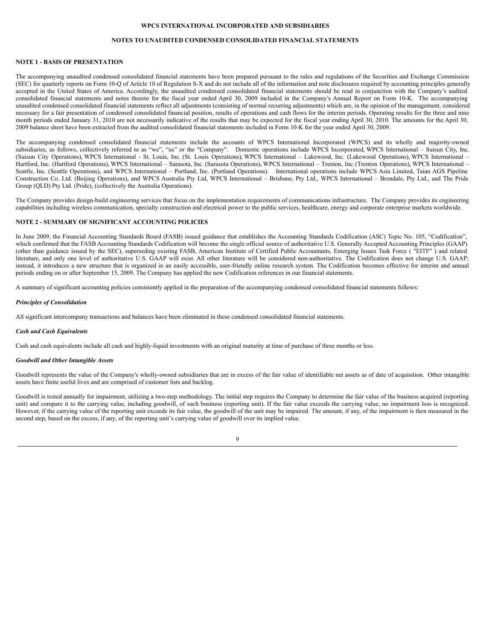### **NOTES TO UNAUDITED CONDENSED CONSOLIDATED FINANCIAL STATEMENTS**

### **NOTE 1 - BASIS OF PRESENTATION**

The accompanying unaudited condensed consolidated financial statements have been prepared pursuant to the rules and regulations of the Securities and Exchange Commission (SEC) for quarterly reports on Form 10-Q of Article 10 of Regulation S-X and do not include all of the information and note disclosures required by accounting principles generally accepted in the United States of America. Accordingly, the unaudited condensed consolidated financial statements should be read in conjunction with the Company's audited consolidated financial statements and notes thereto for the fiscal year ended April 30, 2009 included in the Company's Annual Report on Form 10-K. The accompanying unaudited condensed consolidated financial statements reflect all adjustments (consisting of normal recurring adjustments) which are, in the opinion of the management, considered necessary for a fair presentation of condensed consolidated financial position, results of operations and cash flows for the interim periods. Operating results for the three and nine month periods ended January 31, 2010 are not necessarily indicative of the results that may be expected for the fiscal year ending April 30, 2010. The amounts for the April 30, 2009 balance sheet have been extracted from the audited consolidated financial statements included in Form 10-K for the year ended April 30, 2009.

The accompanying condensed consolidated financial statements include the accounts of WPCS International Incorporated (WPCS) and its wholly and majority-owned subsidiaries, as follows, collectively referred to as "we", "us" or the "Company". Domestic operations include WPCS Incorporated, WPCS International – Suisun City, Inc. (Suisun City Operations), WPCS International - St. Louis, Inc. (St. Louis Operations), WPCS International – Lakewood, Inc. (Lakewood Operations), WPCS International – Hartford, Inc. (Hartford Operations), WPCS International – Sarasota, Inc. (Sarasota Operations), WPCS International – Trenton, Inc.(Trenton Operations), WPCS International – Seattle, Inc. (Seattle Operations), and WPCS International – Portland, Inc. (Portland Operations). International operations include WPCS Asia Limited, Taian AGS Pipeline Construction Co. Ltd. (Beijing Operations), and WPCS Australia Pty Ltd, WPCS International – Brisbane, Pty Ltd., WPCS International – Brendale, Pty Ltd., and The Pride Group (QLD) Pty Ltd. (Pride), (collectively the Australia Operations).

The Company provides design-build engineering services that focus on the implementation requirements of communications infrastructure. The Company provides its engineering capabilities including wireless communication, specialty construction and electrical power to the public services, healthcare, energy and corporate enterprise markets worldwide.

### **NOTE 2 - SUMMARY OF SIGNIFICANT ACCOUNTING POLICIES**

In June 2009, the Financial Accounting Standards Board (FASB) issued guidance that establishes the Accounting Standards Codification (ASC) Topic No. 105, "Codification", which confirmed that the FASB Accounting Standards Codification will become the single official source of authoritative U.S. Generally Accepted Accounting Principles (GAAP) (other than guidance issued by the SEC), superseding existing FASB, American Institute of Certified Public Accountants, Emerging Issues Task Force ( "EITF" ) and related literature, and only one level of authoritative U.S. GAAP will exist. All other literature will be considered non-authoritative. The Codification does not change U.S. GAAP; instead, it introduces a new structure that is organized in an easily accessible, user-friendly online research system. The Codification becomes effective for interim and annual periods ending on or after September 15, 2009. The Company has applied the new Codification references in our financial statements.

A summary of significant accounting policies consistently applied in the preparation of the accompanying condensed consolidated financial statements follows:

#### *Principles of Consolidation*

All significant intercompany transactions and balances have been eliminated in these condensed consolidated financial statements.

#### *Cash and Cash Equivalents*

Cash and cash equivalents include all cash and highly-liquid investments with an original maturity at time of purchase of three months or less.

#### *Goodwill and Other Intangible Assets*

Goodwill represents the value of the Company's wholly-owned subsidiaries that are in excess of the fair value of identifiable net assets as of date of acquisition. Other intangible assets have finite useful lives and are comprised of customer lists and backlog.

Goodwill is tested annually for impairment, utilizing a two-step methodology. The initial step requires the Company to determine the fair value of the business acquired (reporting unit) and compare it to the carrying value, including goodwill, of such business (reporting unit). If the fair value exceeds the carrying value, no impairment loss is recognized. However, if the carrying value of the reporting unit exceeds its fair value, the goodwill of the unit may be impaired. The amount, if any, of the impairment is then measured in the second step, based on the excess, if any, of the reporting unit's carrying value of goodwill over its implied value.

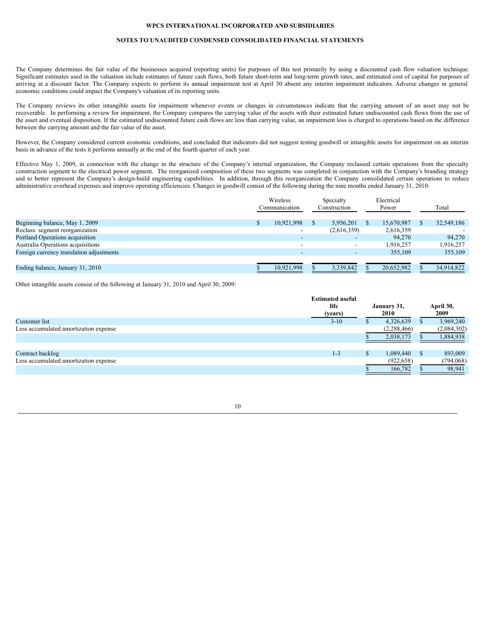### **NOTES TO UNAUDITED CONDENSED CONSOLIDATED FINANCIAL STATEMENTS**

The Company determines the fair value of the businesses acquired (reporting units) for purposes of this test primarily by using a discounted cash flow valuation technique. Significant estimates used in the valuation include estimates of future cash flows, both future short-term and long-term growth rates, and estimated cost of capital for purposes of arriving at a discount factor. The Company expects to perform its annual impairment test at April 30 absent any interim impairment indicators. Adverse changes in general economic conditions could impact the Company's valuation of its reporting units.

The Company reviews its other intangible assets for impairment whenever events or changes in circumstances indicate that the carrying amount of an asset may not be recoverable. In performing a review for impairment, the Company compares the carrying value of the assets with their estimated future undiscounted cash flows from the use of the asset and eventual disposition. If the estimated undiscounted future cash flows are less than carrying value, an impairment loss is charged to operations based on the difference between the carrying amount and the fair value of the asset.

However, the Company considered current economic conditions, and concluded that indicators did not suggest testing goodwill or intangible assets for impairment on an interim basis in advance of the tests it performs annually at the end of the fourth quarter of each year.

Effective May 1, 2009, in connection with the change in the structure of the Company's internal organization, the Company reclassed certain operations from the specialty construction segment to the electrical power segment. The reorganized composition of these two segments was completed in conjunction with the Company's branding strategy and to better represent the Company's design-build engineering capabilities. In addition, through this reorganization the Company consolidated certain operations to reduce administrative overhead expenses and improve operating efficiencies. Changes in goodwill consist of the following during the nine months ended January 31, 2010:

|                                          | Wireless<br>Communication |                          |  | Specialty<br>Construction |  | Electrical<br>Power |  | Total      |  |
|------------------------------------------|---------------------------|--------------------------|--|---------------------------|--|---------------------|--|------------|--|
| Beginning balance, May 1, 2009           |                           | 10.921.998               |  | 5.956.201                 |  | 15,670,987          |  | 32,549,186 |  |
| Reclass: segment reorganization          |                           | $\overline{\phantom{a}}$ |  | (2,616,359)               |  | 2,616,359           |  |            |  |
| Portland Operations acquisition          |                           | -                        |  | $\overline{\phantom{0}}$  |  | 94.270              |  | 94,270     |  |
| Australia Operations acquisitions        |                           | -                        |  | $\overline{\phantom{0}}$  |  | 1.916.257           |  | 1,916,257  |  |
| Foreign currency translation adjustments |                           | -                        |  | $\overline{\phantom{a}}$  |  | 355,109             |  | 355,109    |  |
|                                          |                           |                          |  |                           |  |                     |  |            |  |
| Ending balance, January 31, 2010         |                           | 10,921,998               |  | 3,339,842                 |  | 20,652,982          |  | 34,914,822 |  |

Other intangible assets consist of the following at January 31, 2010 and April 30, 2009:

|                                       | <b>Estimated useful</b> |             |             |
|---------------------------------------|-------------------------|-------------|-------------|
|                                       | life                    | January 31, | April 30,   |
|                                       | (years)                 | 2010        | 2009        |
| Customer list                         | $3 - 10$                | 4,326,639   | 3,969,240   |
| Less accumulated amortization expense |                         | (2,288,466) | (2,084,302) |
|                                       |                         | 2,038,173   | 1,884,938   |
|                                       |                         |             |             |
| Contract backlog                      | $1 - 3$                 | 1,089,440   | 893,009     |
| Less accumulated amortization expense |                         | (922, 658)  | (794, 068)  |
|                                       |                         | 166,782     | 98,941      |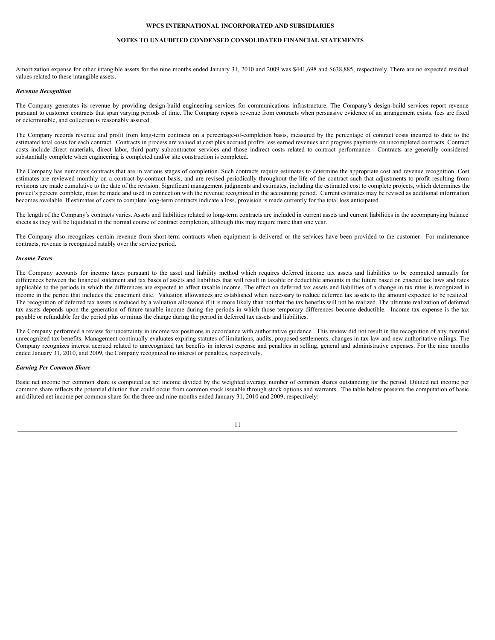### **NOTES TO UNAUDITED CONDENSED CONSOLIDATED FINANCIAL STATEMENTS**

Amortization expense for other intangible assets for the nine months ended January 31, 2010 and 2009 was \$441,698 and \$638,885, respectively. There are no expected residual values related to these intangible assets.

#### *Revenue Recognition*

The Company generates its revenue by providing design-build engineering services for communications infrastructure. The Company's design-build services report revenue pursuant to customer contracts that span varying periods of time. The Company reports revenue from contracts when persuasive evidence of an arrangement exists, fees are fixed or determinable, and collection is reasonably assured.

The Company records revenue and profit from long-term contracts on a percentage-of-completion basis, measured by the percentage of contract costs incurred to date to the estimated total costs for each contract. Contracts in process are valued at cost plus accrued profits less earned revenues and progress payments on uncompleted contracts. Contract costs include direct materials, direct labor, third party subcontractor services and those indirect costs related to contract performance. Contracts are generally considered substantially complete when engineering is completed and/or site construction is completed.

The Company has numerous contracts that are in various stages of completion. Such contracts require estimates to determine the appropriate cost and revenue recognition. Cost estimates are reviewed monthly on a contract-by-contract basis, and are revised periodically throughout the life of the contract such that adjustments to profit resulting from revisions are made cumulative to the date of the revision. Significant management judgments and estimates, including the estimated cost to complete projects, which determines the project's percent complete, must be made and used in connection with the revenue recognized in the accounting period. Current estimates may be revised as additional information becomes available. If estimates of costs to complete long-term contracts indicate a loss, provision is made currently for the total loss anticipated.

The length of the Company's contracts varies. Assets and liabilities related to long-term contracts are included in current assets and current liabilities in the accompanying balance sheets as they will be liquidated in the normal course of contract completion, although this may require more than one year.

The Company also recognizes certain revenue from short-term contracts when equipment is delivered or the services have been provided to the customer. For maintenance contracts, revenue is recognized ratably over the service period.

# *Income Taxes*

The Company accounts for income taxes pursuant to the asset and liability method which requires deferred income tax assets and liabilities to be computed annually for differences between the financial statement and tax bases of assets and liabilities that will result in taxable or deductible amounts in the future based on enacted tax laws and rates applicable to the periods in which the differences are expected to affect taxable income. The effect on deferred tax assets and liabilities of a change in tax rates is recognized in income in the period that includes the enactment date. Valuation allowances are established when necessary to reduce deferred tax assets to the amount expected to be realized. The recognition of deferred tax assets is reduced by a valuation allowance if it is more likely than not that the tax benefits will not be realized. The ultimate realization of deferred tax assets depends upon the generation of future taxable income during the periods in which those temporary differences become deductible. Income tax expense is the tax payable or refundable for the period plus or minus the change during the period in deferred tax assets and liabilities.

The Company performed a review for uncertainty in income tax positions in accordance with authoritative guidance. This review did not result in the recognition of any material unrecognized tax benefits. Management continually evaluates expiring statutes of limitations, audits, proposed settlements, changes in tax law and new authoritative rulings. The Company recognizes interest accrued related to unrecognized tax benefits in interest expense and penalties in selling, general and administrative expenses. For the nine months ended January 31, 2010, and 2009, the Company recognized no interest or penalties, respectively.

### *Earning Per Common Share*

Basic net income per common share is computed as net income divided by the weighted average number of common shares outstanding for the period. Diluted net income per common share reflects the potential dilution that could occur from common stock issuable through stock options and warrants. The table below presents the computation of basic and diluted net income per common share for the three and nine months ended January 31, 2010 and 2009, respectively:

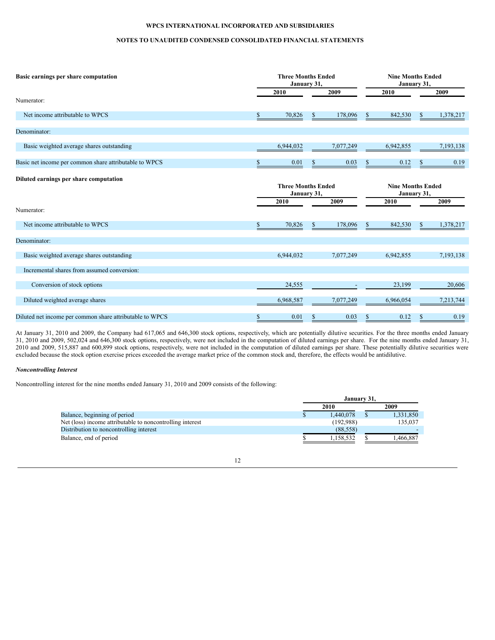# **NOTES TO UNAUDITED CONDENSED CONSOLIDATED FINANCIAL STATEMENTS**

| Basic earnings per share computation                     |              | <b>Three Months Ended</b><br>January 31, |               |                          |    |                                         | <b>Nine Months Ended</b><br>January 31, |           |  |  |  |
|----------------------------------------------------------|--------------|------------------------------------------|---------------|--------------------------|----|-----------------------------------------|-----------------------------------------|-----------|--|--|--|
|                                                          |              | 2009<br>2010                             |               |                          |    | 2010                                    | 2009                                    |           |  |  |  |
| Numerator:                                               |              |                                          |               |                          |    |                                         |                                         |           |  |  |  |
| Net income attributable to WPCS                          | Ъ.           | 70,826                                   | <sup>S</sup>  | 178,096                  | S  | 842,530                                 | S                                       | 1,378,217 |  |  |  |
| Denominator:                                             |              |                                          |               |                          |    |                                         |                                         |           |  |  |  |
| Basic weighted average shares outstanding                |              | 6,944,032                                |               | 7,077,249                |    | 6,942,855                               |                                         | 7,193,138 |  |  |  |
| Basic net income per common share attributable to WPCS   | S.           | 0.01                                     |               | 0.03                     | S  | 0.12                                    |                                         | 0.19      |  |  |  |
| Diluted earnings per share computation                   |              | <b>Three Months Ended</b><br>January 31, |               |                          |    | <b>Nine Months Ended</b><br>January 31, |                                         |           |  |  |  |
|                                                          |              | 2010                                     |               | 2009                     |    | 2010                                    | 2009                                    |           |  |  |  |
| Numerator:                                               |              |                                          |               |                          |    |                                         |                                         |           |  |  |  |
| Net income attributable to WPCS                          | S            | 70,826                                   | <sup>\$</sup> | 178,096                  | S. | 842,530                                 | S                                       | 1,378,217 |  |  |  |
| Denominator:                                             |              |                                          |               |                          |    |                                         |                                         |           |  |  |  |
| Basic weighted average shares outstanding                |              | 6,944,032                                |               | 7,077,249                |    | 6,942,855                               |                                         | 7,193,138 |  |  |  |
| Incremental shares from assumed conversion:              |              |                                          |               |                          |    |                                         |                                         |           |  |  |  |
| Conversion of stock options                              |              | 24,555                                   |               | $\overline{\phantom{a}}$ |    | 23,199                                  |                                         | 20,606    |  |  |  |
| Diluted weighted average shares                          |              | 6,968,587                                |               | 7,077,249                |    | 6,966,054                               |                                         | 7,213,744 |  |  |  |
| Diluted net income per common share attributable to WPCS | $\mathbb{S}$ | 0.01                                     | <sup>\$</sup> | 0.03                     | \$ | 0.12                                    | \$                                      | 0.19      |  |  |  |

At January 31, 2010 and 2009, the Company had 617,065 and 646,300 stock options, respectively, which are potentially dilutive securities. For the three months ended January 31, 2010 and 2009, 502,024 and 646,300 stock options, respectively, were not included in the computation of diluted earnings per share. For the nine months ended January 31, 2010 and 2009, 515,887 and 600,899 stock options, respectively, were not included in the computation of diluted earnings per share. These potentially dilutive securities were excluded because the stock option exercise prices exceeded the average market price of the common stock and, therefore, the effects would be antidilutive.

### *Noncontrolling Interest*

Noncontrolling interest for the nine months ended January 31, 2010 and 2009 consists of the following:

|                                                           | January 31, |      |           |  |  |  |
|-----------------------------------------------------------|-------------|------|-----------|--|--|--|
|                                                           | 2010        | 2009 |           |  |  |  |
| Balance, beginning of period                              | 1.440.078   |      | 1,331,850 |  |  |  |
| Net (loss) income attributable to noncontrolling interest | (192.988)   |      | 135,037   |  |  |  |
| Distribution to noncontrolling interest                   | (88.558)    |      |           |  |  |  |
| Balance, end of period                                    | 1.158.532   |      | .466,887  |  |  |  |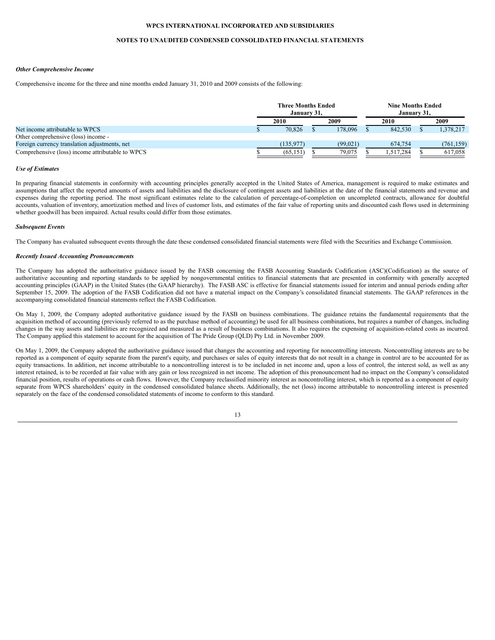### **NOTES TO UNAUDITED CONDENSED CONSOLIDATED FINANCIAL STATEMENTS**

#### *Other Comprehensive Income*

Comprehensive income for the three and nine months ended January 31, 2010 and 2009 consists of the following:

|                                                  | <b>Three Months Ended</b><br>January 31. |  |          |  | <b>Nine Months Ended</b><br>January 31. |  |            |  |  |
|--------------------------------------------------|------------------------------------------|--|----------|--|-----------------------------------------|--|------------|--|--|
|                                                  | 2010                                     |  | 2009     |  | 2010                                    |  | 2009       |  |  |
| Net income attributable to WPCS                  | 70.826                                   |  | 178,096  |  | 842,530                                 |  | 1,378,217  |  |  |
| Other comprehensive (loss) income -              |                                          |  |          |  |                                         |  |            |  |  |
| Foreign currency translation adjustments, net    | (135, 977)                               |  | (99,021) |  | 674.754                                 |  | (761, 159) |  |  |
| Comprehensive (loss) income attributable to WPCS | (65, 151)                                |  | 79,075   |  | 1,517,284                               |  | 617,058    |  |  |

#### *Use of Estimates*

In preparing financial statements in conformity with accounting principles generally accepted in the United States of America, management is required to make estimates and assumptions that affect the reported amounts of assets and liabilities and the disclosure of contingent assets and liabilities at the date of the financial statements and revenue and expenses during the reporting period. The most significant estimates relate to the calculation of percentage-of-completion on uncompleted contracts, allowance for doubtful accounts, valuation of inventory, amortization method and lives of customer lists, and estimates of the fair value of reporting units and discounted cash flows used in determining whether goodwill has been impaired. Actual results could differ from those estimates.

### *Subsequent Events*

The Company has evaluated subsequent events through the date these condensed consolidated financial statements were filed with the Securities and Exchange Commission.

### *Recently Issued Accounting Pronouncements*

The Company has adopted the authoritative guidance issued by the FASB concerning the FASB Accounting Standards Codification (ASC)(Codification) as the source of authoritative accounting and reporting standards to be applied by nongovernmental entities to financial statements that are presented in conformity with generally accepted accounting principles (GAAP) in the United States (the GAAP hierarchy). The FASB ASC is effective for financial statements issued for interim and annual periods ending after September 15, 2009. The adoption of the FASB Codification did not have a material impact on the Company's consolidated financial statements. The GAAP references in the accompanying consolidated financial statements reflect the FASB Codification.

On May 1, 2009, the Company adopted authoritative guidance issued by the FASB on business combinations. The guidance retains the fundamental requirements that the acquisition method of accounting (previously referred to as the purchase method of accounting) be used for all business combinations, but requires a number of changes, including changes in the way assets and liabilities are recognized and measured as a result of business combinations. It also requires the expensing of acquisition-related costs as incurred. The Company applied this statement to account for the acquisition of The Pride Group (QLD) Pty Ltd. in November 2009.

On May 1, 2009, the Company adopted the authoritative guidance issued that changes the accounting and reporting for noncontrolling interests. Noncontrolling interests are to be reported as a component of equity separate from the parent's equity, and purchases or sales of equity interests that do not result in a change in control are to be accounted for as equity transactions. In addition, net income attributable to a noncontrolling interest is to be included in net income and, upon a loss of control, the interest sold, as well as any interest retained, is to be recorded at fair value with any gain or loss recognized in net income. The adoption of this pronouncement had no impact on the Company's consolidated financial position, results of operations or cash flows. However, the Company reclassified minority interest as noncontrolling interest, which is reported as a component of equity separate from WPCS shareholders' equity in the condensed consolidated balance sheets. Additionally, the net (loss) income attributable to noncontrolling interest is presented separately on the face of the condensed consolidated statements of income to conform to this standard.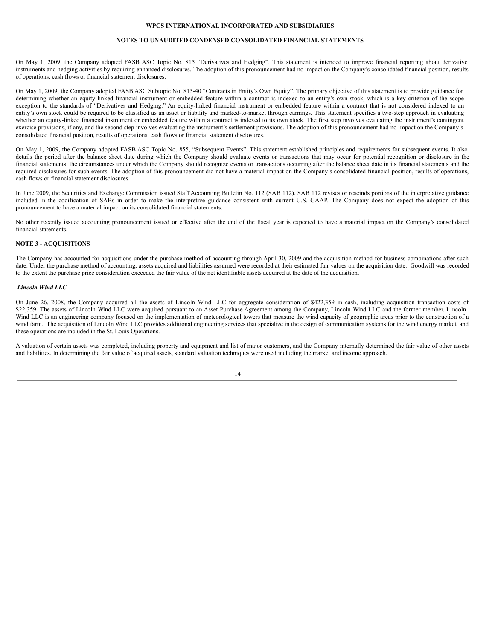### **NOTES TO UNAUDITED CONDENSED CONSOLIDATED FINANCIAL STATEMENTS**

On May 1, 2009, the Company adopted FASB ASC Topic No. 815 "Derivatives and Hedging". This statement is intended to improve financial reporting about derivative instruments and hedging activities by requiring enhanced disclosures. The adoption of this pronouncement had no impact on the Company's consolidated financial position, results of operations, cash flows or financial statement disclosures.

On May 1, 2009, the Company adopted FASB ASC Subtopic No. 815-40 "Contracts in Entity's Own Equity". The primary objective of this statement is to provide guidance for determining whether an equity-linked financial instrument or embedded feature within a contract is indexed to an entity's own stock, which is a key criterion of the scope exception to the standards of "Derivatives and Hedging." An equity-linked financial instrument or embedded feature within a contract that is not considered indexed to an entity's own stock could be required to be classified as an asset or liability and marked-to-market through earnings. This statement specifies a two-step approach in evaluating whether an equity-linked financial instrument or embedded feature within a contract is indexed to its own stock. The first step involves evaluating the instrument's contingent exercise provisions, if any, and the second step involves evaluating the instrument's settlement provisions. The adoption of this pronouncement had no impact on the Company's consolidated financial position, results of operations, cash flows or financial statement disclosures.

On May 1, 2009, the Company adopted FASB ASC Topic No. 855, "Subsequent Events". This statement established principles and requirements for subsequent events. It also details the period after the balance sheet date during which the Company should evaluate events or transactions that may occur for potential recognition or disclosure in the financial statements, the circumstances under which the Company should recognize events or transactions occurring after the balance sheet date in its financial statements and the required disclosures for such events. The adoption of this pronouncement did not have a material impact on the Company's consolidated financial position, results of operations, cash flows or financial statement disclosures.

In June 2009, the Securities and Exchange Commission issued Staff Accounting Bulletin No. 112 (SAB 112). SAB 112 revises or rescinds portions of the interpretative guidance included in the codification of SABs in order to make the interpretive guidance consistent with current U.S. GAAP. The Company does not expect the adoption of this pronouncement to have a material impact on its consolidated financial statements.

No other recently issued accounting pronouncement issued or effective after the end of the fiscal year is expected to have a material impact on the Company's consolidated financial statements.

### **NOTE 3 - ACQUISITIONS**

The Company has accounted for acquisitions under the purchase method of accounting through April 30, 2009 and the acquisition method for business combinations after such date. Under the purchase method of accounting, assets acquired and liabilities assumed were recorded at their estimated fair values on the acquisition date. Goodwill was recorded to the extent the purchase price consideration exceeded the fair value of the net identifiable assets acquired at the date of the acquisition.

### *Lincoln Wind LLC*

On June 26, 2008, the Company acquired all the assets of Lincoln Wind LLC for aggregate consideration of \$422,359 in cash, including acquisition transaction costs of \$22,359. The assets of Lincoln Wind LLC were acquired pursuant to an Asset Purchase Agreement among the Company, Lincoln Wind LLC and the former member. Lincoln Wind LLC is an engineering company focused on the implementation of meteorological towers that measure the wind capacity of geographic areas prior to the construction of a wind farm. The acquisition of Lincoln Wind LLC provides additional engineering services that specialize in the design of communication systems for the wind energy market, and these operations are included in the St. Louis Operations.

A valuation of certain assets was completed, including property and equipment and list of major customers, and the Company internally determined the fair value of other assets and liabilities. In determining the fair value of acquired assets, standard valuation techniques were used including the market and income approach.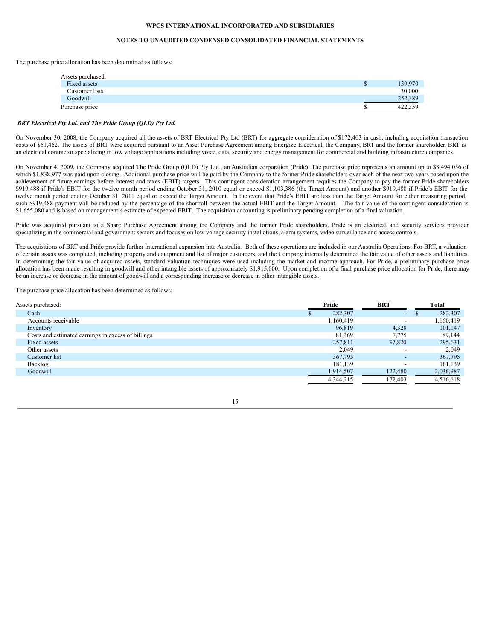### **NOTES TO UNAUDITED CONDENSED CONSOLIDATED FINANCIAL STATEMENTS**

The purchase price allocation has been determined as follows:

| Assets purchased: |         |
|-------------------|---------|
| Fixed assets      | 139,970 |
| Customer lists    | 30,000  |
| Goodwill          | 252,389 |
| Purchase price    | 422.359 |

### *BRT Electrical Pty Ltd. and The Pride Group (QLD) Pty Ltd.*

On November 30, 2008, the Company acquired all the assets of BRT Electrical Pty Ltd (BRT) for aggregate consideration of \$172,403 in cash, including acquisition transaction costs of \$61,462. The assets of BRT were acquired pursuant to an Asset Purchase Agreement among Energize Electrical, the Company, BRT and the former shareholder. BRT is an electrical contractor specializing in low voltage applications including voice, data, security and energy management for commercial and building infrastructure companies.

On November 4, 2009, the Company acquired The Pride Group (QLD) Pty Ltd., an Australian corporation (Pride). The purchase price represents an amount up to \$3,494,056 of which \$1,838,977 was paid upon closing. Additional purchase price will be paid by the Company to the former Pride shareholders over each of the next two years based upon the achievement of future earnings before interest and taxes (EBIT) targets. This contingent consideration arrangement requires the Company to pay the former Pride shareholders \$919,488 if Pride's EBIT for the twelve month period ending October 31, 2010 equal or exceed \$1,103,386 (the Target Amount) and another \$919,488 if Pride's EBIT for the twelve month period ending October 31, 2011 equal or exceed the Target Amount. In the event that Pride's EBIT are less than the Target Amount for either measuring period, such \$919,488 payment will be reduced by the percentage of the shortfall between the actual EBIT and the Target Amount. The fair value of the contingent consideration is \$1,655,080 and is based on management's estimate of expected EBIT. The acquisition accounting is preliminary pending completion of a final valuation.

Pride was acquired pursuant to a Share Purchase Agreement among the Company and the former Pride shareholders. Pride is an electrical and security services provider specializing in the commercial and government sectors and focuses on low voltage security installations, alarm systems, video surveillance and access controls.

The acquisitions of BRT and Pride provide further international expansion into Australia. Both of these operations are included in our Australia Operations. For BRT, a valuation of certain assets was completed, including property and equipment and list of major customers, and the Company internally determined the fair value of other assets and liabilities. In determining the fair value of acquired assets, standard valuation techniques were used including the market and income approach. For Pride, a preliminary purchase price allocation has been made resulting in goodwill and other intangible assets of approximately \$1,915,000. Upon completion of a final purchase price allocation for Pride, there may be an increase or decrease in the amount of goodwill and a corresponding increase or decrease in other intangible assets.

The purchase price allocation has been determined as follows:

| Assets purchased:                                  | Pride     | <b>BRT</b>               | Total     |  |  |
|----------------------------------------------------|-----------|--------------------------|-----------|--|--|
| Cash                                               | 282,307   | $\sim$                   | 282,307   |  |  |
| Accounts receivable                                | 1,160,419 | -                        | 1,160,419 |  |  |
| Inventory                                          | 96,819    | 4,328                    | 101,147   |  |  |
| Costs and estimated earnings in excess of billings | 81,369    | 7,775                    | 89,144    |  |  |
| Fixed assets                                       | 257,811   | 37,820                   | 295,631   |  |  |
| Other assets                                       | 2,049     | $\overline{\phantom{a}}$ | 2,049     |  |  |
| Customer list                                      | 367,795   | $\overline{\phantom{0}}$ | 367,795   |  |  |
| Backlog                                            | 181,139   | $\overline{\phantom{a}}$ | 181,139   |  |  |
| Goodwill                                           | 1,914,507 | 122,480                  | 2,036,987 |  |  |
|                                                    | 4,344,215 | 172,403                  | 4,516,618 |  |  |

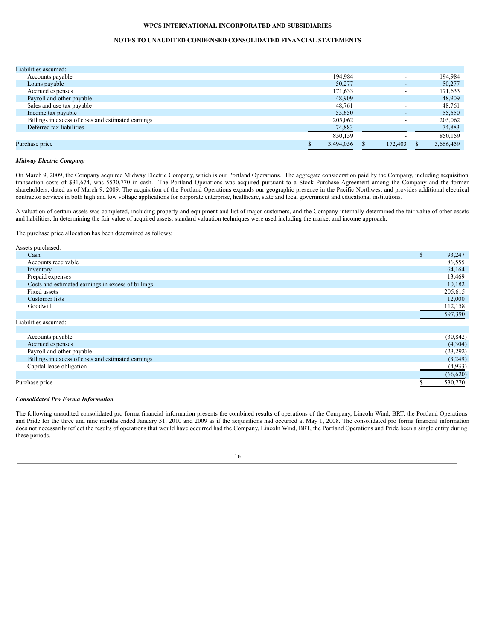## **NOTES TO UNAUDITED CONDENSED CONSOLIDATED FINANCIAL STATEMENTS**

| Liabilities assumed:                               |           |                          |           |
|----------------------------------------------------|-----------|--------------------------|-----------|
| Accounts payable                                   | 194,984   | $\overline{\phantom{0}}$ | 194,984   |
| Loans payable                                      | 50,277    |                          | 50,277    |
| Accrued expenses                                   | 171,633   |                          | 171,633   |
| Payroll and other payable                          | 48,909    |                          | 48,909    |
| Sales and use tax payable                          | 48,761    | $\overline{\phantom{0}}$ | 48,761    |
| Income tax payable                                 | 55,650    |                          | 55,650    |
| Billings in excess of costs and estimated earnings | 205,062   |                          | 205,062   |
| Deferred tax liabilities                           | 74,883    |                          | 74,883    |
|                                                    | 850,159   |                          | 850,159   |
| Purchase price                                     | 3,494,056 | 172,403                  | 3,666,459 |

### *Midway Electric Company*

On March 9, 2009, the Company acquired Midway Electric Company, which is our Portland Operations. The aggregate consideration paid by the Company, including acquisition transaction costs of \$31,674, was \$530,770 in cash. The Portland Operations was acquired pursuant to a Stock Purchase Agreement among the Company and the former shareholders, dated as of March 9, 2009. The acquisition of the Portland Operations expands our geographic presence in the Pacific Northwest and provides additional electrical contractor services in both high and low voltage applications for corporate enterprise, healthcare, state and local government and educational institutions.

A valuation of certain assets was completed, including property and equipment and list of major customers, and the Company internally determined the fair value of other assets and liabilities. In determining the fair value of acquired assets, standard valuation techniques were used including the market and income approach.

### The purchase price allocation has been determined as follows:

| Assets purchased:                                  |                        |
|----------------------------------------------------|------------------------|
| Cash                                               | $\mathbb{S}$<br>93,247 |
| Accounts receivable                                | 86,555                 |
| Inventory                                          | 64,164                 |
| Prepaid expenses                                   | 13,469                 |
| Costs and estimated earnings in excess of billings | 10,182                 |
| Fixed assets                                       | 205,615                |
| <b>Customer</b> lists                              | 12,000                 |
| Goodwill                                           | 112,158                |
|                                                    | 597,390                |
| Liabilities assumed:                               |                        |
|                                                    |                        |
| Accounts payable                                   | (30, 842)              |
| Accrued expenses                                   | (4,304)                |
| Payroll and other payable                          | (23, 292)              |
| Billings in excess of costs and estimated earnings | (3,249)                |
| Capital lease obligation                           | (4,933)                |
|                                                    | (66, 620)              |
| Purchase price                                     | 530,770                |

#### *Consolidated Pro Forma Information*

The following unaudited consolidated pro forma financial information presents the combined results of operations of the Company, Lincoln Wind, BRT, the Portland Operations and Pride for the three and nine months ended January 31, 2010 and 2009 as if the acquisitions had occurred at May 1, 2008. The consolidated pro forma financial information does not necessarily reflect the results of operations that would have occurred had the Company, Lincoln Wind, BRT, the Portland Operations and Pride been a single entity during these periods.

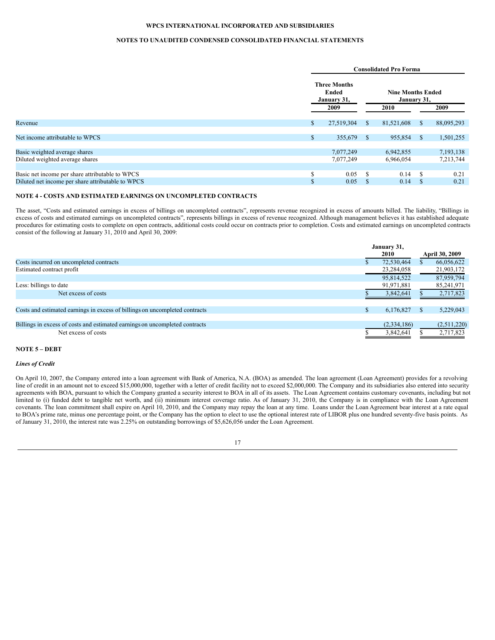### **NOTES TO UNAUDITED CONDENSED CONSOLIDATED FINANCIAL STATEMENTS**

|                                                                                                      |    | <b>Consolidated Pro Forma</b>               |               |                                         |                  |                        |  |  |  |  |
|------------------------------------------------------------------------------------------------------|----|---------------------------------------------|---------------|-----------------------------------------|------------------|------------------------|--|--|--|--|
|                                                                                                      |    | <b>Three Months</b><br>Ended<br>January 31, |               | <b>Nine Months Ended</b><br>January 31, |                  |                        |  |  |  |  |
|                                                                                                      |    | 2009                                        |               | 2010                                    |                  | 2009                   |  |  |  |  |
| Revenue                                                                                              | \$ | 27,519,304                                  | <sup>\$</sup> | 81,521,608                              | <sup>S</sup>     | 88,095,293             |  |  |  |  |
| Net income attributable to WPCS                                                                      | S. | 355,679                                     | <sup>S</sup>  | 955,854                                 | $\sim$ S         | 1,501,255              |  |  |  |  |
| Basic weighted average shares<br>Diluted weighted average shares                                     |    | 7,077,249<br>7,077,249                      |               | 6,942,855<br>6,966,054                  |                  | 7,193,138<br>7,213,744 |  |  |  |  |
| Basic net income per share attributable to WPCS<br>Diluted net income per share attributable to WPCS |    | 0.05<br>0.05                                | -S<br>S       | 0.14<br>0.14                            | - \$<br><b>S</b> | 0.21<br>0.21           |  |  |  |  |

# **NOTE 4 - COSTS AND ESTIMATED EARNINGS ON UNCOMPLETED CONTRACTS**

The asset, "Costs and estimated earnings in excess of billings on uncompleted contracts", represents revenue recognized in excess of amounts billed. The liability, "Billings in excess of costs and estimated earnings on uncompleted contracts", represents billings in excess of revenue recognized. Although management believes it has established adequate procedures for estimating costs to complete on open contracts, additional costs could occur on contracts prior to completion. Costs and estimated earnings on uncompleted contracts consist of the following at January 31, 2010 and April 30, 2009:

|                                                                             |     | January 31, |                |
|-----------------------------------------------------------------------------|-----|-------------|----------------|
|                                                                             |     | 2010        | April 30, 2009 |
| Costs incurred on uncompleted contracts                                     |     | 72,530,464  | 66,056,622     |
| Estimated contract profit                                                   |     | 23,284,058  | 21,903,172     |
|                                                                             |     | 95,814,522  | 87,959,794     |
| Less: billings to date                                                      |     | 91,971,881  | 85,241,971     |
| Net excess of costs                                                         |     | 3,842,641   | 2,717,823      |
|                                                                             |     |             |                |
| Costs and estimated earnings in excess of billings on uncompleted contracts | \$. | 6,176,827   | 5,229,043      |
|                                                                             |     |             |                |
| Billings in excess of costs and estimated earnings on uncompleted contracts |     | (2,334,186) | (2,511,220)    |
| Net excess of costs                                                         |     | 3,842,641   | 2,717,823      |

### **NOTE 5 – DEBT**

### *Lines of Credit*

On April 10, 2007, the Company entered into a loan agreement with Bank of America, N.A. (BOA) as amended. The loan agreement (Loan Agreement) provides for a revolving line of credit in an amount not to exceed \$15,000,000, together with a letter of credit facility not to exceed \$2,000,000. The Company and its subsidiaries also entered into security agreements with BOA, pursuant to which the Company granted a security interest to BOA in all of its assets. The Loan Agreement contains customary covenants, including but not limited to (i) funded debt to tangible net worth, and (ii) minimum interest coverage ratio. As of January 31, 2010, the Company is in compliance with the Loan Agreement covenants. The loan commitment shall expire on April 10, 2010, and the Company may repay the loan at any time. Loans under the Loan Agreement bear interest at a rate equal to BOA's prime rate, minus one percentage point, or the Company has the option to elect to use the optional interest rate of LIBOR plus one hundred seventy-five basis points. As of January 31, 2010, the interest rate was 2.25% on outstanding borrowings of \$5,626,056 under the Loan Agreement.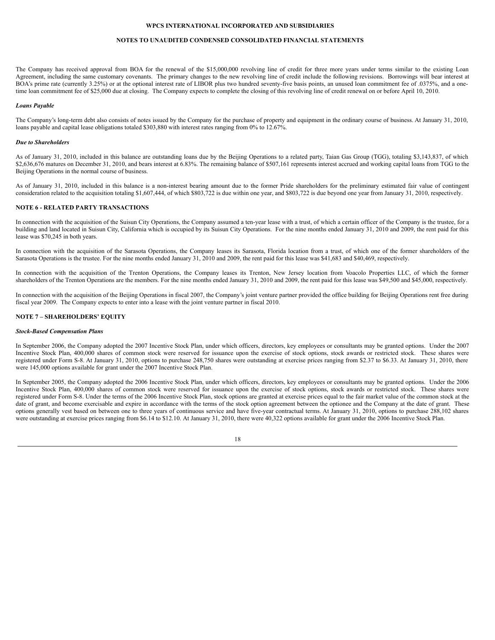### **NOTES TO UNAUDITED CONDENSED CONSOLIDATED FINANCIAL STATEMENTS**

The Company has received approval from BOA for the renewal of the \$15,000,000 revolving line of credit for three more years under terms similar to the existing Loan Agreement, including the same customary covenants. The primary changes to the new revolving line of credit include the following revisions. Borrowings will bear interest at BOA's prime rate (currently 3.25%) or at the optional interest rate of LIBOR plus two hundred seventy-five basis points, an unused loan commitment fee of .0375%, and a onetime loan commitment fee of \$25,000 due at closing. The Company expects to complete the closing of this revolving line of credit renewal on or before April 10, 2010.

#### *Loans Payable*

The Company's long-term debt also consists of notes issued by the Company for the purchase of property and equipment in the ordinary course of business. At January 31, 2010, loans payable and capital lease obligations totaled \$303,880 with interest rates ranging from 0% to 12.67%.

#### *Due to Shareholders*

As of January 31, 2010, included in this balance are outstanding loans due by the Beijing Operations to a related party, Taian Gas Group (TGG), totaling \$3,143,837, of which \$2,636,676 matures on December 31, 2010, and bears interest at 6.83%. The remaining balance of \$507,161 represents interest accrued and working capital loans from TGG to the Beijing Operations in the normal course of business.

As of January 31, 2010, included in this balance is a non-interest bearing amount due to the former Pride shareholders for the preliminary estimated fair value of contingent consideration related to the acquisition totaling \$1,607,444, of which \$803,722 is due within one year, and \$803,722 is due beyond one year from January 31, 2010, respectively.

## **NOTE 6 - RELATED PARTY TRANSACTIONS**

In connection with the acquisition of the Suisun City Operations, the Company assumed a ten-year lease with a trust, of which a certain officer of the Company is the trustee, for a building and land located in Suisun City, California which is occupied by its Suisun City Operations. For the nine months ended January 31, 2010 and 2009, the rent paid for this lease was \$70,245 in both years.

In connection with the acquisition of the Sarasota Operations, the Company leases its Sarasota, Florida location from a trust, of which one of the former shareholders of the Sarasota Operations is the trustee. For the nine months ended January 31, 2010 and 2009, the rent paid for this lease was \$41,683 and \$40,469, respectively.

In connection with the acquisition of the Trenton Operations, the Company leases its Trenton, New Jersey location from Voacolo Properties LLC, of which the former shareholders of the Trenton Operations are the members. For the nine months ended January 31, 2010 and 2009, the rent paid for this lease was \$49,500 and \$45,000, respectively.

In connection with the acquisition of the Beijing Operations in fiscal 2007, the Company's joint venture partner provided the office building for Beijing Operations rent free during fiscal year 2009. The Company expects to enter into a lease with the joint venture partner in fiscal 2010.

### **NOTE 7 – SHAREHOLDERS' EQUITY**

#### *Stock-Based Compensation Plans*

In September 2006, the Company adopted the 2007 Incentive Stock Plan, under which officers, directors, key employees or consultants may be granted options. Under the 2007 Incentive Stock Plan, 400,000 shares of common stock were reserved for issuance upon the exercise of stock options, stock awards or restricted stock. These shares were registered under Form S-8. At January 31, 2010, options to purchase 248,750 shares were outstanding at exercise prices ranging from \$2.37 to \$6.33. At January 31, 2010, there were 145,000 options available for grant under the 2007 Incentive Stock Plan.

In September 2005, the Company adopted the 2006 Incentive Stock Plan, under which officers, directors, key employees or consultants may be granted options. Under the 2006 Incentive Stock Plan, 400,000 shares of common stock were reserved for issuance upon the exercise of stock options, stock awards or restricted stock. These shares were registered under Form S-8. Under the terms of the 2006 Incentive Stock Plan, stock options are granted at exercise prices equal to the fair market value of the common stock at the date of grant, and become exercisable and expire in accordance with the terms of the stock option agreement between the optionee and the Company at the date of grant. These options generally vest based on between one to three years of continuous service and have five-year contractual terms. At January 31, 2010, options to purchase 288,102 shares were outstanding at exercise prices ranging from \$6.14 to \$12.10. At January 31, 2010, there were 40,322 options available for grant under the 2006 Incentive Stock Plan.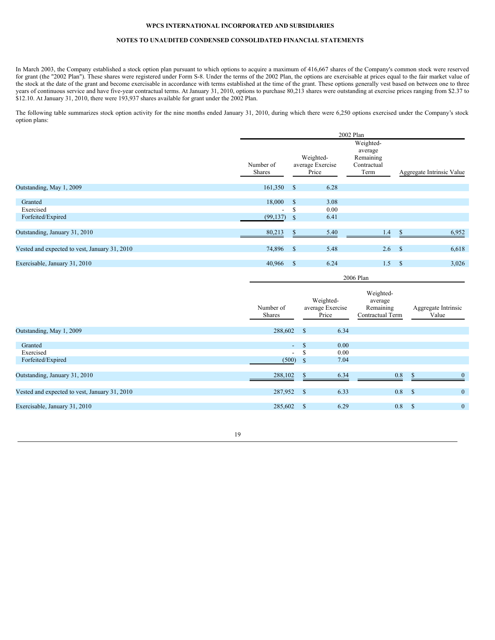# **NOTES TO UNAUDITED CONDENSED CONSOLIDATED FINANCIAL STATEMENTS**

In March 2003, the Company established a stock option plan pursuant to which options to acquire a maximum of 416,667 shares of the Company's common stock were reserved for grant (the "2002 Plan"). These shares were registered under Form S-8. Under the terms of the 2002 Plan, the options are exercisable at prices equal to the fair market value of the stock at the date of the grant and become exercisable in accordance with terms established at the time of the grant. These options generally vest based on between one to three years of continuous service and have five-year contractual terms. At January 31, 2010, options to purchase 80,213 shares were outstanding at exercise prices ranging from \$2.37 to \$12.10. At January 31, 2010, there were 193,937 shares available for grant under the 2002 Plan.

The following table summarizes stock option activity for the nine months ended January 31, 2010, during which there were 6,250 options exercised under the Company's stock option plans:

|                                               |                            | 2002 Plan  |                                        |                                                          |              |                           |  |  |  |  |  |  |  |
|-----------------------------------------------|----------------------------|------------|----------------------------------------|----------------------------------------------------------|--------------|---------------------------|--|--|--|--|--|--|--|
|                                               | Number of<br><b>Shares</b> |            | Weighted-<br>average Exercise<br>Price | Weighted-<br>average<br>Remaining<br>Contractual<br>Term |              | Aggregate Intrinsic Value |  |  |  |  |  |  |  |
| Outstanding, May 1, 2009                      | 161,350                    | $\sqrt{s}$ | 6.28                                   |                                                          |              |                           |  |  |  |  |  |  |  |
| Granted                                       | 18,000 \$                  |            | 3.08                                   |                                                          |              |                           |  |  |  |  |  |  |  |
| Exercised                                     | $\overline{\phantom{0}}$   | S          | 0.00                                   |                                                          |              |                           |  |  |  |  |  |  |  |
| Forfeited/Expired                             | $(99,137)$ \$              |            | 6.41                                   |                                                          |              |                           |  |  |  |  |  |  |  |
| Outstanding, January 31, 2010                 | 80,213                     | \$.        | 5.40                                   | 1.4                                                      |              | 6,952                     |  |  |  |  |  |  |  |
| Vested and expected to vest, January 31, 2010 | 74,896 \$                  |            | 5.48                                   | 2.6                                                      | $^{\circ}$   | 6,618                     |  |  |  |  |  |  |  |
| Exercisable, January 31, 2010                 | $40,966$ \$                |            | 6.24                                   | 1.5                                                      | $\mathbf{s}$ | 3,026                     |  |  |  |  |  |  |  |
|                                               |                            |            |                                        | 2006 Plan                                                |              |                           |  |  |  |  |  |  |  |

|                                               | Number of<br><b>Shares</b> | Weighted-<br>average Exercise<br>Price | Weighted-<br>average<br>Remaining<br>Contractual Term | Aggregate Intrinsic<br>Value |
|-----------------------------------------------|----------------------------|----------------------------------------|-------------------------------------------------------|------------------------------|
| Outstanding, May 1, 2009                      | 288,602                    | 6.34<br>$^{\circ}$                     |                                                       |                              |
|                                               |                            |                                        |                                                       |                              |
| Granted                                       | $-$ \$                     | 0.00                                   |                                                       |                              |
| Exercised                                     | $\overline{\phantom{a}}$   | S<br>0.00                              |                                                       |                              |
| Forfeited/Expired                             | $(500)$ \$                 | 7.04                                   |                                                       |                              |
|                                               |                            |                                        |                                                       |                              |
| Outstanding, January 31, 2010                 | 288,102                    | 6.34                                   | 0.8                                                   |                              |
|                                               |                            |                                        |                                                       |                              |
| Vested and expected to vest, January 31, 2010 | 287,952                    | 6.33<br>$^{\circ}$                     | 0.8                                                   | -S<br>$\mathbf{0}$           |
|                                               |                            |                                        |                                                       |                              |
| Exercisable, January 31, 2010                 | 285,602                    | 6.29<br><b>S</b>                       | 0.8                                                   | -S<br>$\overline{0}$         |
|                                               |                            |                                        |                                                       |                              |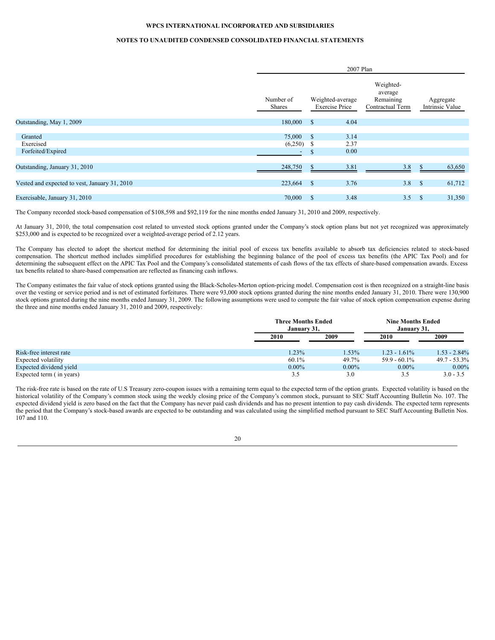### **NOTES TO UNAUDITED CONDENSED CONSOLIDATED FINANCIAL STATEMENTS**

|                                               |                            | 2007 Plan     |                                           |                                                       |              |                                     |  |  |  |  |  |  |
|-----------------------------------------------|----------------------------|---------------|-------------------------------------------|-------------------------------------------------------|--------------|-------------------------------------|--|--|--|--|--|--|
|                                               | Number of<br><b>Shares</b> |               | Weighted-average<br><b>Exercise Price</b> | Weighted-<br>average<br>Remaining<br>Contractual Term |              | Aggregate<br><b>Intrinsic Value</b> |  |  |  |  |  |  |
| Outstanding, May 1, 2009                      | 180,000                    | $\mathbb{S}$  | 4.04                                      |                                                       |              |                                     |  |  |  |  |  |  |
|                                               |                            |               |                                           |                                                       |              |                                     |  |  |  |  |  |  |
| Granted                                       | 75,000                     | <sup>\$</sup> | 3.14                                      |                                                       |              |                                     |  |  |  |  |  |  |
| Exercised                                     | (6,250)                    | -S            | 2.37                                      |                                                       |              |                                     |  |  |  |  |  |  |
| Forfeited/Expired                             |                            | S             | 0.00                                      |                                                       |              |                                     |  |  |  |  |  |  |
| Outstanding, January 31, 2010                 | 248,750                    | \$            | 3.81                                      | 3.8                                                   | <sup>S</sup> | 63,650                              |  |  |  |  |  |  |
| Vested and expected to vest, January 31, 2010 | 223,664                    | $\mathbb{S}$  | 3.76                                      | 3.8                                                   | $^{\circ}$   | 61,712                              |  |  |  |  |  |  |
| Exercisable, January 31, 2010                 | 70,000                     | \$            | 3.48                                      | 3.5                                                   | - \$         | 31,350                              |  |  |  |  |  |  |

The Company recorded stock-based compensation of \$108,598 and \$92,119 for the nine months ended January 31, 2010 and 2009, respectively.

At January 31, 2010, the total compensation cost related to unvested stock options granted under the Company's stock option plans but not yet recognized was approximately \$253,000 and is expected to be recognized over a weighted-average period of 2.12 years.

The Company has elected to adopt the shortcut method for determining the initial pool of excess tax benefits available to absorb tax deficiencies related to stock-based compensation. The shortcut method includes simplified procedures for establishing the beginning balance of the pool of excess tax benefits (the APIC Tax Pool) and for determining the subsequent effect on the APIC Tax Pool and the Company's consolidated statements of cash flows of the tax effects of share-based compensation awards. Excess tax benefits related to share-based compensation are reflected as financing cash inflows.

The Company estimates the fair value of stock options granted using the Black-Scholes-Merton option-pricing model. Compensation cost is then recognized on a straight-line basis over the vesting or service period and is net of estimated forfeitures. There were 93,000 stock options granted during the nine months ended January 31, 2010. There were 130,900 stock options granted during the nine months ended January 31, 2009. The following assumptions were used to compute the fair value of stock option compensation expense during the three and nine months ended January 31, 2010 and 2009, respectively:

|                          | <b>Three Months Ended</b><br>January 31. |          | <b>Nine Months Ended</b><br>January 31. |                 |  |  |  |
|--------------------------|------------------------------------------|----------|-----------------------------------------|-----------------|--|--|--|
|                          | 2010                                     | 2009     | 2010                                    | 2009            |  |  |  |
| Risk-free interest rate  | 1.23%                                    | 1.53%    | $1.23 - 1.61\%$                         | $1.53 - 2.84\%$ |  |  |  |
| Expected volatility      | $60.1\%$                                 | 49.7%    | $59.9 - 60.1\%$                         | $49.7 - 53.3\%$ |  |  |  |
| Expected dividend yield  | $0.00\%$                                 | $0.00\%$ | $0.00\%$                                | $0.00\%$        |  |  |  |
| Expected term (in years) | 3.5                                      | 3.0      | 3.5                                     | $3.0 - 3.5$     |  |  |  |

The risk-free rate is based on the rate of U.S Treasury zero-coupon issues with a remaining term equal to the expected term of the option grants. Expected volatility is based on the historical volatility of the Company's common stock using the weekly closing price of the Company's common stock, pursuant to SEC Staff Accounting Bulletin No. 107. The expected dividend yield is zero based on the fact that the Company has never paid cash dividends and has no present intention to pay cash dividends. The expected term represents the period that the Company's stock-based awards are expected to be outstanding and was calculated using the simplified method pursuant to SEC Staff Accounting Bulletin Nos. 107 and 110.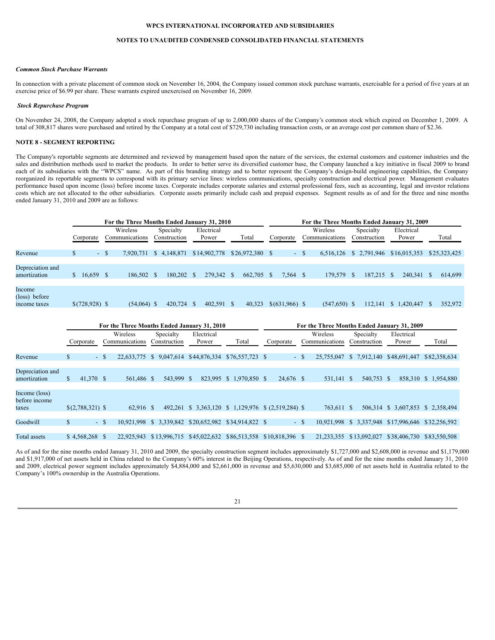### **NOTES TO UNAUDITED CONDENSED CONSOLIDATED FINANCIAL STATEMENTS**

#### *Common Stock Purchase Warrants*

In connection with a private placement of common stock on November 16, 2004, the Company issued common stock purchase warrants, exercisable for a period of five years at an exercise price of \$6.99 per share. These warrants expired unexercised on November 16, 2009.

#### *Stock Repurchase Program*

On November 24, 2008, the Company adopted a stock repurchase program of up to 2,000,000 shares of the Company's common stock which expired on December 1, 2009. A total of 308,817 shares were purchased and retired by the Company at a total cost of \$729,730 including transaction costs, or an average cost per common share of \$2.36.

## **NOTE 8 - SEGMENT REPORTING**

The Company's reportable segments are determined and reviewed by management based upon the nature of the services, the external customers and customer industries and the sales and distribution methods used to market the products. In order to better serve its diversified customer base, the Company launched a key initiative in fiscal 2009 to brand each of its subsidiaries with the "WPCS" name. As part of this branding strategy and to better represent the Company's design-build engineering capabilities, the Company reorganized its reportable segments to correspond with its primary service lines: wireless communications, specialty construction and electrical power. Management evaluates performance based upon income (loss) before income taxes. Corporate includes corporate salaries and external professional fees, such as accounting, legal and investor relations costs which are not allocated to the other subsidiaries. Corporate assets primarily include cash and prepaid expenses. Segment results as of and for the three and nine months ended January 31, 2010 and 2009 are as follows:

|                                         |                 |        | For the Three Months Ended January 31, 2010 |      |                           |                     |                     | For the Three Months Ended January 31, 2009 |                 |        |                            |      |                            |  |                     |              |              |  |  |  |  |
|-----------------------------------------|-----------------|--------|---------------------------------------------|------|---------------------------|---------------------|---------------------|---------------------------------------------|-----------------|--------|----------------------------|------|----------------------------|--|---------------------|--------------|--------------|--|--|--|--|
|                                         | Corporate       |        | Wireless<br>Communications                  |      | Specialty<br>Construction | Electrical<br>Power | Total               |                                             | Corporate       |        | Wireless<br>Communications |      | Specialty<br>Construction  |  | Electrical<br>Power |              | Total        |  |  |  |  |
| Revenue                                 | $\mathbb{S}$    | $-$ \$ | 7.920.731                                   |      | \$4,148,871               | \$14,902,778        | $$26,972,380$ \, \$ |                                             |                 | $-$ \$ | 6.516.126                  |      | $$2,791,946$ $$16,015,353$ |  |                     |              | \$25,323,425 |  |  |  |  |
| Depreciation and<br>amortization        | $$16,659$ \$    |        | 186,502                                     | - \$ | 180,202                   | 279,342 \$          | 662,705 \$          |                                             | 7,564 \$        |        | 179,579                    | - \$ | 187.215 \$                 |  | 240,341             | $\mathbf{s}$ | 614.699      |  |  |  |  |
| Income<br>(loss) before<br>income taxes | $$(728,928)$ \; |        | $(54.064)$ \$                               |      | 420,724 \$                | 402,591             | 40,323              |                                             | $$(631,966)$ \; |        | $(547,650)$ \$             |      | 112,141                    |  | \$1,420,447         |              | 352,972      |  |  |  |  |

|                                  |   |                  |       | For the Three Months Ended January 31, 2010 |                           |                                                      |                              | For the Three Months Ended January 31, 2009 |           |        |                                      |  |                           |  |                     |                                   |  |  |
|----------------------------------|---|------------------|-------|---------------------------------------------|---------------------------|------------------------------------------------------|------------------------------|---------------------------------------------|-----------|--------|--------------------------------------|--|---------------------------|--|---------------------|-----------------------------------|--|--|
|                                  |   | Corporate        |       | Wireless<br>Communications                  | Specialty<br>Construction | Electrical<br>Power                                  | Total                        |                                             | Corporate |        | Wireless<br>Communications           |  | Specialty<br>Construction |  | Electrical<br>Power | Total                             |  |  |
| Revenue                          | S |                  | - \$  |                                             |                           | 22,633,775 \$ 9,047,614 \$44,876,334 \$76,557,723 \$ |                              |                                             |           | $-$ S  | 25,755,047                           |  | \$7,912,140               |  | \$48,691,447        | \$82,358,634                      |  |  |
|                                  |   |                  |       |                                             |                           |                                                      |                              |                                             |           |        |                                      |  |                           |  |                     |                                   |  |  |
| Depreciation and<br>amortization |   | 41.370 \$        |       | 561.486 \$                                  | 543,999 \$                |                                                      | 823,995 \$ 1,970,850 \$      |                                             | 24,676 \$ |        | 531.141 \$                           |  | 540,753 \$                |  |                     | 858,310 \$ 1,954,880              |  |  |
| Income (loss)<br>before income   |   |                  |       |                                             |                           |                                                      |                              |                                             |           |        |                                      |  |                           |  |                     |                                   |  |  |
| taxes                            |   | $$(2,788,321)$ \ |       | 62.916 \$                                   |                           | 492,261 \$ 3,363,120 \$ 1,129,976 \$ (2,519,284) \$  |                              |                                             |           |        | 763.611 \$                           |  |                           |  |                     | 506,314 \$ 3,607,853 \$ 2,358,494 |  |  |
| Goodwill                         | S |                  | $-$ S |                                             |                           | 10,921,998 \$ 3,339,842 \$20,652,982 \$34,914,822 \$ |                              |                                             |           | $-$ \$ | 10,921,998 \$ 3,337,948 \$17,996,646 |  |                           |  |                     | \$32,256,592                      |  |  |
| Total assets                     |   | \$4.568.268      | -S    |                                             |                           | 22.925.943 \$13.996.715 \$45.022.632                 | \$86,513,558 \$10,818,396 \$ |                                             |           |        | 21.233.355                           |  | \$13,092,027              |  | \$38,406,730        | \$83,550,508                      |  |  |

As of and for the nine months ended January 31, 2010 and 2009, the specialty construction segment includes approximately \$1,727,000 and \$2,608,000 in revenue and \$1,179,000 and \$1,917,000 of net assets held in China related to the Company's 60% interest in the Beijing Operations, respectively. As of and for the nine months ended January 31, 2010 and 2009, electrical power segment includes approximately  $\frac{$4,884,000$ and $2,661,000$ in revenue and $5,630,000 and $3,685,000$ of net assets held in Australia related to the$ Company's 100% ownership in the Australia Operations.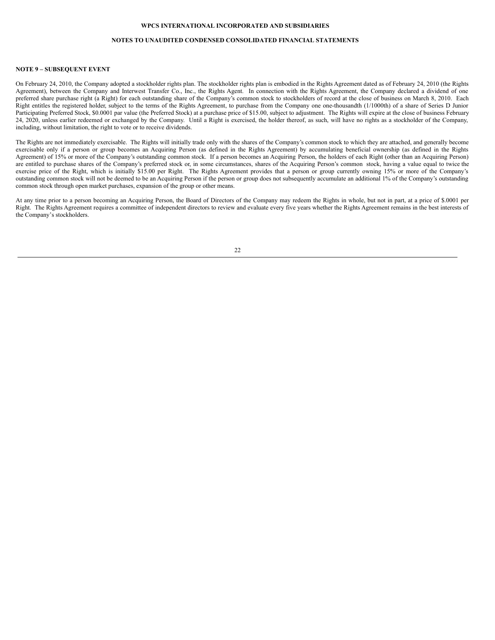### **NOTES TO UNAUDITED CONDENSED CONSOLIDATED FINANCIAL STATEMENTS**

# **NOTE 9 – SUBSEQUENT EVENT**

On February 24, 2010, the Company adopted a stockholder rights plan. The stockholder rights plan is embodied in the Rights Agreement dated as of February 24, 2010 (the Rights Agreement), between the Company and Interwest Transfer Co., Inc., the Rights Agent. In connection with the Rights Agreement, the Company declared a dividend of one preferred share purchase right (a Right) for each outstanding share of the Company's common stock to stockholders of record at the close of business on March 8, 2010. Each Right entitles the registered holder, subject to the terms of the Rights Agreement, to purchase from the Company one one-thousandth (1/1000th) of a share of Series D Junior Participating Preferred Stock, \$0.0001 par value (the Preferred Stock) at a purchase price of \$15.00, subject to adjustment. The Rights will expire at the close of business February 24, 2020, unless earlier redeemed or exchanged by the Company. Until a Right is exercised, the holder thereof, as such, will have no rights as a stockholder of the Company, including, without limitation, the right to vote or to receive dividends.

The Rights are not immediately exercisable. The Rights will initially trade only with the shares of the Company's common stock to which they are attached, and generally become exercisable only if a person or group becomes an Acquiring Person (as defined in the Rights Agreement) by accumulating beneficial ownership (as defined in the Rights Agreement) of 15% or more of the Company's outstanding common stock. If a person becomes an Acquiring Person, the holders of each Right (other than an Acquiring Person) are entitled to purchase shares of the Company's preferred stock or, in some circumstances, shares of the Acquiring Person's common stock, having a value equal to twice the exercise price of the Right, which is initially \$15.00 per Right. The Rights Agreement provides that a person or group currently owning 15% or more of the Company's outstanding common stock will not be deemed to be an Acquiring Person if the person or group does not subsequently accumulate an additional 1% of the Company's outstanding common stock through open market purchases, expansion of the group or other means.

At any time prior to a person becoming an Acquiring Person, the Board of Directors of the Company may redeem the Rights in whole, but not in part, at a price of \$.0001 per Right. The Rights Agreement requires a committee of independent directors to review and evaluate every five years whether the Rights Agreement remains in the best interests of the Company's stockholders.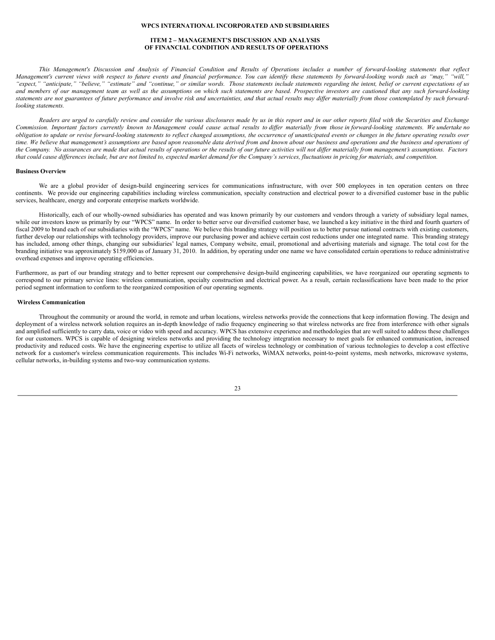### **ITEM 2 – MANAGEMENT'S DISCUSSION AND ANALYSIS OF FINANCIAL CONDITION AND RESULTS OF OPERATIONS**

This Management's Discussion and Analysis of Financial Condition and Results of Operations includes a number of forward-looking statements that reflect Management's current views with respect to future events and financial performance. You can identify these statements by forward-looking words such as "may," "will," "expect," "anticipate," "believe," "estimate" and "continue," or similar words. Those statements include statements regarding the intent, belief or current expectations of us and members of our management team as well as the assumptions on which such statements are based. Prospective investors are cautioned that any such forward-looking statements are not guarantees of future performance and involve risk and uncertainties, and that actual results may differ materially from those contemplated by such forward*looking statements.*

Readers are urged to carefully review and consider the various disclosures made by us in this report and in our other reports filed with the Securities and Exchange Commission. Important factors currently known to Management could cause actual results to differ materially from those in forward-looking statements. We undertake no obligation to update or revise forward-looking statements to reflect changed assumptions, the occurrence of unanticipated events or changes in the future operating results over time. We believe that management's assumptions are based upon reasonable data derived from and known about our business and operations and the business and operations of the Company. No assurances are made that actual results of operations or the results of our future activities will not differ materially from management's assumptions. Factors that could cause differences include, but are not limited to, expected market demand for the Company's services, fluctuations in pricing for materials, and competition.

#### **Business Overview**

We are a global provider of design-build engineering services for communications infrastructure, with over 500 employees in ten operation centers on three continents. We provide our engineering capabilities including wireless communication, specialty construction and electrical power to a diversified customer base in the public services, healthcare, energy and corporate enterprise markets worldwide.

Historically, each of our wholly-owned subsidiaries has operated and was known primarily by our customers and vendors through a variety of subsidiary legal names, while our investors know us primarily by our "WPCS" name. In order to better serve our diversified customer base, we launched a key initiative in the third and fourth quarters of fiscal 2009 to brand each of our subsidiaries with the "WPCS" name. We believe this branding strategy will position us to better pursue national contracts with existing customers, further develop our relationships with technology providers, improve our purchasing power and achieve certain cost reductions under one integrated name. This branding strategy has included, among other things, changing our subsidiaries' legal names, Company website, email, promotional and advertising materials and signage. The total cost for the branding initiative was approximately \$159,000 as of January 31, 2010. In addition, by operating under one name we have consolidated certain operations to reduce administrative overhead expenses and improve operating efficiencies.

Furthermore, as part of our branding strategy and to better represent our comprehensive design-build engineering capabilities, we have reorganized our operating segments to correspond to our primary service lines: wireless communication, specialty construction and electrical power. As a result, certain reclassifications have been made to the prior period segment information to conform to the reorganized composition of our operating segments.

#### **Wireless Communication**

Throughout the community or around the world, in remote and urban locations, wireless networks provide the connections that keep information flowing. The design and deployment of a wireless network solution requires an in-depth knowledge of radio frequency engineering so that wireless networks are free from interference with other signals and amplified sufficiently to carry data, voice or video with speed and accuracy. WPCS has extensive experience and methodologies that are well suited to address these challenges for our customers. WPCS is capable of designing wireless networks and providing the technology integration necessary to meet goals for enhanced communication, increased productivity and reduced costs. We have the engineering expertise to utilize all facets of wireless technology or combination of various technologies to develop a cost effective network for a customer's wireless communication requirements. This includes Wi-Fi networks, WiMAX networks, point-to-point systems, mesh networks, microwave systems, cellular networks, in-building systems and two-way communication systems.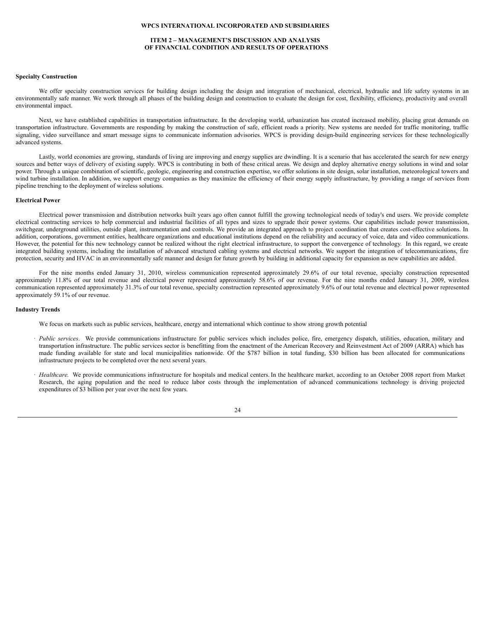### **ITEM 2 – MANAGEMENT'S DISCUSSION AND ANALYSIS OF FINANCIAL CONDITION AND RESULTS OF OPERATIONS**

### **Specialty Construction**

We offer specialty construction services for building design including the design and integration of mechanical, electrical, hydraulic and life safety systems in an environmentally safe manner. We work through all phases of the building design and construction to evaluate the design for cost, flexibility, efficiency, productivity and overall environmental impact.

Next, we have established capabilities in transportation infrastructure. In the developing world, urbanization has created increased mobility, placing great demands on transportation infrastructure. Governments are responding by making the construction of safe, efficient roads a priority. New systems are needed for traffic monitoring, traffic signaling, video surveillance and smart message signs to communicate information advisories. WPCS is providing design-build engineering services for these technologically advanced systems.

Lastly, world economies are growing, standards of living are improving and energy supplies are dwindling. It is a scenario that has accelerated the search for new energy sources and better ways of delivery of existing supply. WPCS is contributing in both of these critical areas. We design and deploy alternative energy solutions in wind and solar power. Through a unique combination of scientific, geologic, engineering and construction expertise, we offer solutions in site design, solar installation, meteorological towers and wind turbine installation. In addition, we support energy companies as they maximize the efficiency of their energy supply infrastructure, by providing a range of services from pipeline trenching to the deployment of wireless solutions.

#### **Electrical Power**

Electrical power transmission and distribution networks built years ago often cannot fulfill the growing technological needs of today's end users. We provide complete electrical contracting services to help commercial and industrial facilities of all types and sizes to upgrade their power systems. Our capabilities include power transmission, switchgear, underground utilities, outside plant, instrumentation and controls. We provide an integrated approach to project coordination that creates cost-effective solutions. In addition, corporations, government entities, healthcare organizations and educational institutions depend on the reliability and accuracy of voice, data and video communications. However, the potential for this new technology cannot be realized without the right electrical infrastructure, to support the convergence of technology. In this regard, we create integrated building systems, including the installation of advanced structured cabling systems and electrical networks. We support the integration of telecommunications, fire protection, security and HVAC in an environmentally safe manner and design for future growth by building in additional capacity for expansion as new capabilities are added.

For the nine months ended January 31, 2010, wireless communication represented approximately 29.6% of our total revenue, specialty construction represented approximately 11.8% of our total revenue and electrical power represented approximately 58.6% of our revenue. For the nine months ended January 31, 2009, wireless communication represented approximately 31.3% of our total revenue, specialty construction represented approximately 9.6% of our total revenue and electrical power represented approximately 59.1% of our revenue.

#### **Industry Trends**

We focus on markets such as public services, healthcare, energy and international which continue to show strong growth potential

- · *Public services*. We provide communications infrastructure for public services which includes police, fire, emergency dispatch, utilities, education, military and transportation infrastructure. The public services sector is benefitting from the enactment of the American Recovery and Reinvestment Act of 2009 (ARRA) which has made funding available for state and local municipalities nationwide. Of the \$787 billion in total funding, \$30 billion has been allocated for communications infrastructure projects to be completed over the next several years.
- · *Healthcare*. We provide communications infrastructure for hospitals and medical centers. In the healthcare market, according to an October 2008 report from Market Research, the aging population and the need to reduce labor costs through the implementation of advanced communications technology is driving projected expenditures of \$3 billion per year over the next few years.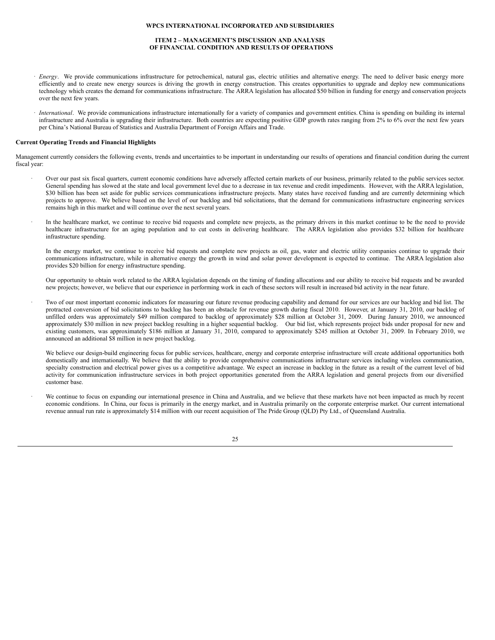### **ITEM 2 – MANAGEMENT'S DISCUSSION AND ANALYSIS OF FINANCIAL CONDITION AND RESULTS OF OPERATIONS**

- · *Energy*. We provide communications infrastructure for petrochemical, natural gas, electric utilities and alternative energy. The need to deliver basic energy more efficiently and to create new energy sources is driving the growth in energy construction. This creates opportunities to upgrade and deploy new communications technology which creates the demand for communications infrastructure. The ARRA legislation has allocated \$50 billion in funding for energy and conservation projects over the next few years.
- · *International*. We provide communications infrastructure internationally for a variety of companies and government entities. China is spending on building its internal infrastructure and Australia is upgrading their infrastructure. Both countries are expecting positive GDP growth rates ranging from 2% to 6% over the next few years per China's National Bureau of Statistics and Australia Department of Foreign Affairs and Trade.

### **Current Operating Trends and Financial Highlights**

Management currently considers the following events, trends and uncertainties to be important in understanding our results of operations and financial condition during the current fiscal year:

- Over our past six fiscal quarters, current economic conditions have adversely affected certain markets of our business, primarily related to the public services sector. General spending has slowed at the state and local government level due to a decrease in tax revenue and credit impediments. However, with the ARRA legislation, \$30 billion has been set aside for public services communications infrastructure projects. Many states have received funding and are currently determining which projects to approve. We believe based on the level of our backlog and bid solicitations, that the demand for communications infrastructure engineering services remains high in this market and will continue over the next several years.
- In the healthcare market, we continue to receive bid requests and complete new projects, as the primary drivers in this market continue to be the need to provide healthcare infrastructure for an aging population and to cut costs in delivering healthcare. The ARRA legislation also provides \$32 billion for healthcare infrastructure spending.
	- In the energy market, we continue to receive bid requests and complete new projects as oil, gas, water and electric utility companies continue to upgrade their communications infrastructure, while in alternative energy the growth in wind and solar power development is expected to continue. The ARRA legislation also provides \$20 billion for energy infrastructure spending.
	- Our opportunity to obtain work related to the ARRA legislation depends on the timing of funding allocations and our ability to receive bid requests and be awarded new projects; however, we believe that our experience in performing work in each of these sectors will result in increased bid activity in the near future.
- Two of our most important economic indicators for measuring our future revenue producing capability and demand for our services are our backlog and bid list. The protracted conversion of bid solicitations to backlog has been an obstacle for revenue growth during fiscal 2010. However, at January 31, 2010, our backlog of unfilled orders was approximately \$49 million compared to backlog of approximately \$28 million at October 31, 2009. During January 2010, we announced approximately \$30 million in new project backlog resulting in a higher sequential backlog. Our bid list, which represents project bids under proposal for new and existing customers, was approximately \$186 million at January 31, 2010, compared to approximately \$245 million at October 31, 2009. In February 2010, we announced an additional \$8 million in new project backlog.
	- We believe our design-build engineering focus for public services, healthcare, energy and corporate enterprise infrastructure will create additional opportunities both domestically and internationally. We believe that the ability to provide comprehensive communications infrastructure services including wireless communication, specialty construction and electrical power gives us a competitive advantage. We expect an increase in backlog in the future as a result of the current level of bid activity for communication infrastructure services in both project opportunities generated from the ARRA legislation and general projects from our diversified customer base.
- We continue to focus on expanding our international presence in China and Australia, and we believe that these markets have not been impacted as much by recent economic conditions. In China, our focus is primarily in the energy market, and in Australia primarily on the corporate enterprise market. Our current international revenue annual run rate is approximately \$14 million with our recent acquisition of The Pride Group (QLD) Pty Ltd., of Queensland Australia.

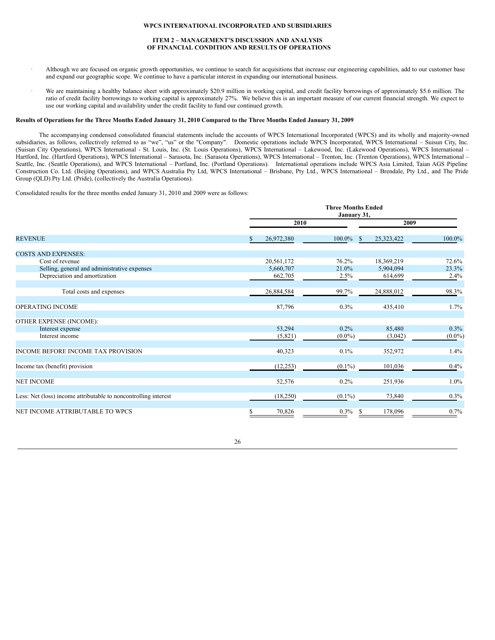### **ITEM 2 – MANAGEMENT'S DISCUSSION AND ANALYSIS OF FINANCIAL CONDITION AND RESULTS OF OPERATIONS**

- Although we are focused on organic growth opportunities, we continue to search for acquisitions that increase our engineering capabilities, add to our customer base and expand our geographic scope. We continue to have a particular interest in expanding our international business.
- We are maintaining a healthy balance sheet with approximately \$20.9 million in working capital, and credit facility borrowings of approximately \$5.6 million. The ratio of credit facility borrowings to working capital is approximately 27%. We believe this is an important measure of our current financial strength. We expect to use our working capital and availability under the credit facility to fund our continued growth.

### Results of Operations for the Three Months Ended January 31, 2010 Compared to the Three Months Ended January 31, 2009

The accompanying condensed consolidated financial statements include the accounts of WPCS International Incorporated (WPCS) and its wholly and majority-owned subsidiaries, as follows, collectively referred to as "we", "us" or the "Company". Domestic operations include WPCS Incorporated, WPCS International – Suisun City, Inc. (Suisun City Operations), WPCS International - St. Louis, Inc. (St. Louis Operations), WPCS International – Lakewood, Inc. (Lakewood Operations), WPCS International – Hartford, Inc. (Hartford Operations), WPCS International – Sarasota, Inc. (Sarasota Operations), WPCS International – Trenton, Inc. (Trenton Operations), WPCS International – Seattle, Inc. (Seattle Operations), and WPCS International – Portland, Inc. (Portland Operations). International operations include WPCS Asia Limited, Taian AGS Pipeline Construction Co. Ltd. (Beijing Operations), and WPCS Australia Pty Ltd, WPCS International – Brisbane, Pty Ltd., WPCS International – Brendale, Pty Ltd., and The Pride Group (QLD) Pty Ltd. (Pride), (collectively the Australia Operations).

Consolidated results for the three months ended January 31, 2010 and 2009 were as follows:

|                                                                 |                 | <b>Three Months Ended</b><br>January 31, |                   |           |  |  |
|-----------------------------------------------------------------|-----------------|------------------------------------------|-------------------|-----------|--|--|
|                                                                 | 2010            |                                          | 2009              |           |  |  |
| <b>REVENUE</b>                                                  | 26,972,380<br>S | $100.0\%$                                | -\$<br>25,323,422 | 100.0%    |  |  |
| <b>COSTS AND EXPENSES:</b>                                      |                 |                                          |                   |           |  |  |
| Cost of revenue                                                 | 20,561,172      | 76.2%                                    | 18,369,219        | 72.6%     |  |  |
| Selling, general and administrative expenses                    | 5,660,707       | 21.0%                                    | 5,904,094         | 23.3%     |  |  |
| Depreciation and amortization                                   | 662,705         | 2.5%                                     | 614,699           | 2.4%      |  |  |
| Total costs and expenses                                        | 26,884,584      | 99.7%                                    | 24,888,012        | 98.3%     |  |  |
| OPERATING INCOME                                                | 87,796          | 0.3%                                     | 435,410           | 1.7%      |  |  |
| OTHER EXPENSE (INCOME):                                         |                 |                                          |                   |           |  |  |
| Interest expense                                                | 53,294          | 0.2%                                     | 85,480            | 0.3%      |  |  |
| Interest income                                                 | (5,821)         | $(0.0\%)$                                | (3,042)           | $(0.0\%)$ |  |  |
| INCOME BEFORE INCOME TAX PROVISION                              | 40,323          | 0.1%                                     | 352,972           | 1.4%      |  |  |
| Income tax (benefit) provision                                  | (12, 253)       | $(0.1\%)$                                | 101,036           | 0.4%      |  |  |
| <b>NET INCOME</b>                                               | 52,576          | 0.2%                                     | 251,936           | 1.0%      |  |  |
| Less: Net (loss) income attributable to noncontrolling interest | (18,250)        | $(0.1\%)$                                | 73,840            | $0.3\%$   |  |  |
| NET INCOME ATTRIBUTABLE TO WPCS                                 | 70,826<br>S     | $0.3\%$                                  | 178,096<br>-S     | 0.7%      |  |  |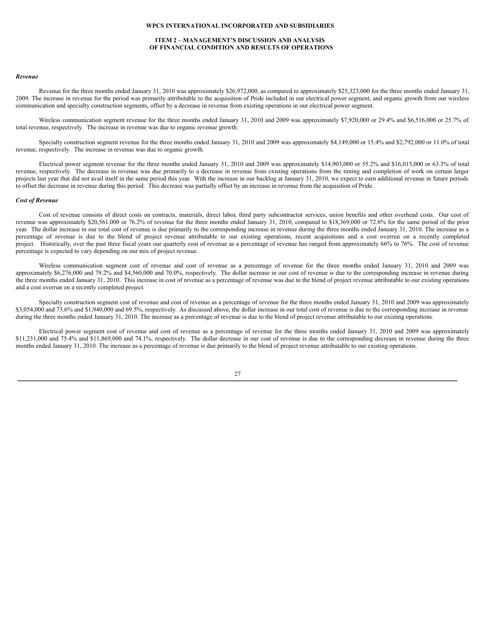### **ITEM 2 – MANAGEMENT'S DISCUSSION AND ANALYSIS OF FINANCIAL CONDITION AND RESULTS OF OPERATIONS**

#### *Revenue*

Revenue for the three months ended January 31, 2010 was approximately \$26,972,000, as compared to approximately \$25,323,000 for the three months ended January 31, 2009. The increase in revenue for the period was primarily attributable to the acquisition of Pride included in our electrical power segment, and organic growth from our wireless communication and specialty construction segments, offset by a decrease in revenue from existing operations in our electrical power segment.

Wireless communication segment revenue for the three months ended January 31, 2010 and 2009 was approximately \$7,920,000 or 29.4% and \$6,516,000 or 25.7% of total revenue, respectively. The increase in revenue was due to organic revenue growth.

Specialty construction segment revenue for the three months ended January 31, 2010 and 2009 was approximately \$4,149,000 or 15.4% and \$2,792,000 or 11.0% of total revenue, respectively. The increase in revenue was due to organic growth.

Electrical power segment revenue for the three months ended January 31, 2010 and 2009 was approximately \$14,903,000 or 55.2% and \$16,015,000 or 63.3% of total revenue, respectively. The decrease in revenue was due primarily to a decrease in revenue from existing operations from the timing and completion of work on certain larger projects last year that did not avail itself in the same period this year. With the increase in our backlog at January 31, 2010, we expect to earn additional revenue in future periods to offset the decrease in revenue during this period. This decrease was partially offset by an increase in revenue from the acquisition of Pride.

#### *Cost of Revenue*

Cost of revenue consists of direct costs on contracts, materials, direct labor, third party subcontractor services, union benefits and other overhead costs. Our cost of revenue was approximately \$20,561,000 or 76.2% of revenue for the three months ended January 31, 2010, compared to \$18,369,000 or 72.6% for the same period of the prior year. The dollar increase in our total cost of revenue is due primarily to the corresponding increase in revenue during the three months ended January 31, 2010. The increase as a percentage of revenue is due to the blend of project revenue attributable to our existing operations, recent acquisitions and a cost overrun on a recently completed project. Historically, over the past three fiscal years our quarterly cost of revenue as a percentage of revenue has ranged from approximately 66% to 76%. The cost of revenue percentage is expected to vary depending on our mix of project revenue.

Wireless communication segment cost of revenue and cost of revenue as a percentage of revenue for the three months ended January 31, 2010 and 2009 was approximately \$6,276,000 and 79.2% and \$4,560,000 and 70.0%, respectively. The dollar increase in our cost of revenue is due to the corresponding increase in revenue during the three months ended January 31, 2010. This increase in cost of revenue as a percentage of revenue was due to the blend of project revenue attributable to our existing operations and a cost overrun on a recently completed project.

Specialty construction segment cost of revenue and cost of revenue as a percentage of revenue for the three months ended January 31, 2010 and 2009 was approximately \$3,054,000 and 73.6% and \$1,940,000 and 69.5%, respectively. As discussed above, the dollar increase in our total cost of revenue is due to the corresponding increase in revenue during the three months ended January 31, 2010. The increase as a percentage of revenue is due to the blend of project revenue attributable to our existing operations.

Electrical power segment cost of revenue and cost of revenue as a percentage of revenue for the three months ended January 31, 2010 and 2009 was approximately \$11,231,000 and 75.4% and \$11,869,000 and 74.1%, respectively. The dollar decrease in our cost of revenue is due to the corresponding decrease in revenue during the three months ended January 31, 2010. The increase as a percentage of revenue is due primarily to the blend of project revenue attributable to our existing operations.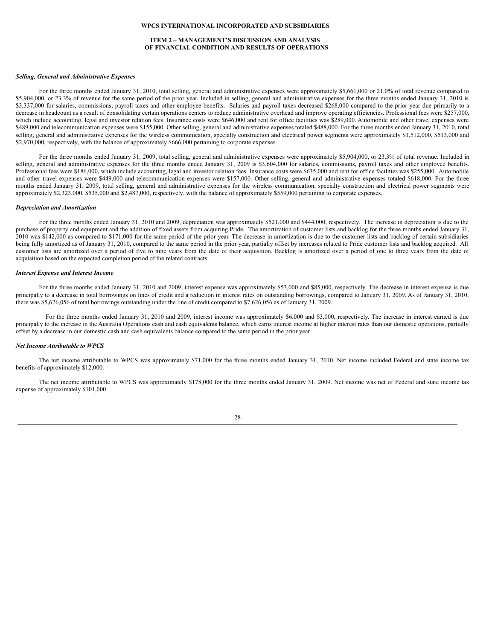### **ITEM 2 – MANAGEMENT'S DISCUSSION AND ANALYSIS OF FINANCIAL CONDITION AND RESULTS OF OPERATIONS**

#### *Selling, General and Administrative Expenses*

For the three months ended January 31, 2010, total selling, general and administrative expenses were approximately \$5,661,000 or 21.0% of total revenue compared to \$5,904,000, or 23.3% of revenue for the same period of the prior year. Included in selling, general and administrative expenses for the three months ended January 31, 2010 is \$3,337,000 for salaries, commissions, payroll taxes and other employee benefits. Salaries and payroll taxes decreased \$268,000 compared to the prior year due primarily to a decrease in headcount as a result of consolidating certain operations centers to reduce administrative overhead and improve operating efficiencies. Professional fees were \$257,000, which include accounting, legal and investor relation fees. Insurance costs were \$646,000 and rent for office facilities was \$289,000. Automobile and other travel expenses were \$489,000 and telecommunication expenses were \$155,000. Other selling, general and administrative expenses totaled \$488,000. For the three months ended January 31, 2010, total selling, general and administrative expenses for the wireless communication, specialty construction and electrical power segments were approximately \$1,512,000, \$513,000 and \$2,970,000, respectively, with the balance of approximately \$666,000 pertaining to corporate expenses.

For the three months ended January 31, 2009, total selling, general and administrative expenses were approximately \$5,904,000, or 23.3% of total revenue. Included in selling, general and administrative expenses for the three months ended January 31, 2009 is \$3,604,000 for salaries, commissions, payroll taxes and other employee benefits. Professional fees were \$186,000, which include accounting, legal and investor relation fees. Insurance costs were \$635,000 and rent for office facilities was \$255,000. Automobile and other travel expenses were \$449,000 and telecommunication expenses were \$157,000. Other selling, general and administrative expenses totaled \$618,000. For the three months ended January 31, 2009, total selling, general and administrative expenses for the wireless communication, specialty construction and electrical power segments were approximately \$2,323,000, \$535,000 and \$2,487,000, respectively, with the balance of approximately \$559,000 pertaining to corporate expenses.

#### *Depreciation and Amortization*

For the three months ended January 31, 2010 and 2009, depreciation was approximately \$521,000 and \$444,000, respectively. The increase in depreciation is due to the purchase of property and equipment and the addition of fixed assets from acquiring Pride. The amortization of customer lists and backlog for the three months ended January 31, 2010 was \$142,000 as compared to \$171,000 for the same period of the prior year. The decrease in amortization is due to the customer lists and backlog of certain subsidiaries being fully amortized as of January 31, 2010, compared to the same period in the prior year, partially offset by increases related to Pride customer lists and backlog acquired. All customer lists are amortized over a period of five to nine years from the date of their acquisition. Backlog is amortized over a period of one to three years from the date of acquisition based on the expected completion period of the related contracts.

#### *Interest Expense and Interest Income*

For the three months ended January 31, 2010 and 2009, interest expense was approximately \$53,000 and \$85,000, respectively. The decrease in interest expense is due principally to a decrease in total borrowings on lines of credit and a reduction in interest rates on outstanding borrowings, compared to January 31, 2009. As of January 31, 2010, there was \$5,626,056 of total borrowings outstanding under the line of credit compared to \$7,626,056 as of January 31, 2009.

For the three months ended January 31, 2010 and 2009, interest income was approximately \$6,000 and \$3,000, respectively. The increase in interest earned is due principally to the increase in the Australia Operations cash and cash equivalents balance, which earns interest income at higher interest rates than our domestic operations, partially offset by a decrease in our domestic cash and cash equivalents balance compared to the same period in the prior year.

### *Net Income Attributable to WPCS*

The net income attributable to WPCS was approximately \$71,000 for the three months ended January 31, 2010. Net income included Federal and state income tax benefits of approximately \$12,000.

The net income attributable to WPCS was approximately \$178,000 for the three months ended January 31, 2009. Net income was net of Federal and state income tax expense of approximately \$101,000.

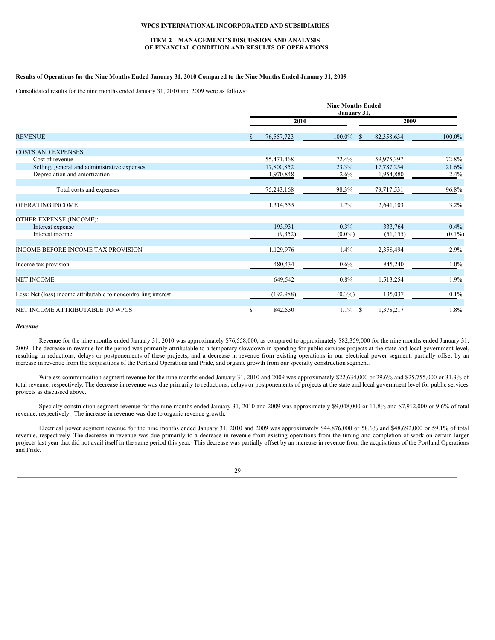### **ITEM 2 – MANAGEMENT'S DISCUSSION AND ANALYSIS OF FINANCIAL CONDITION AND RESULTS OF OPERATIONS**

### Results of Operations for the Nine Months Ended January 31, 2010 Compared to the Nine Months Ended January 31, 2009

Consolidated results for the nine months ended January 31, 2010 and 2009 were as follows:

|                                                                 |                    | <b>Nine Months Ended</b><br>January 31, |                  |           |  |
|-----------------------------------------------------------------|--------------------|-----------------------------------------|------------------|-----------|--|
| <b>REVENUE</b>                                                  | 2010               |                                         | 2009             |           |  |
|                                                                 | 76, 557, 723<br>S. | 100.0%                                  | 82,358,634<br>-S | 100.0%    |  |
| <b>COSTS AND EXPENSES:</b>                                      |                    |                                         |                  |           |  |
| Cost of revenue                                                 | 55,471,468         | 72.4%                                   | 59,975,397       | 72.8%     |  |
| Selling, general and administrative expenses                    | 17,800,852         | 23.3%                                   | 17,787,254       | 21.6%     |  |
| Depreciation and amortization                                   | 1,970,848          | 2.6%                                    | 1,954,880        | 2.4%      |  |
| Total costs and expenses                                        | 75,243,168         | 98.3%                                   | 79,717,531       | 96.8%     |  |
| OPERATING INCOME                                                | 1,314,555          | 1.7%                                    | 2,641,103        | 3.2%      |  |
| OTHER EXPENSE (INCOME):                                         |                    |                                         |                  |           |  |
| Interest expense                                                | 193,931            | 0.3%                                    | 333,764          | $0.4\%$   |  |
| Interest income                                                 | (9,352)            | $(0.0\%)$                               | (51, 155)        | $(0.1\%)$ |  |
| <b>INCOME BEFORE INCOME TAX PROVISION</b>                       | 1,129,976          | 1.4%                                    | 2,358,494        | 2.9%      |  |
| Income tax provision                                            | 480,434            | 0.6%                                    | 845,240          | $1.0\%$   |  |
| <b>NET INCOME</b>                                               | 649,542            | $0.8\%$                                 | 1,513,254        | 1.9%      |  |
| Less: Net (loss) income attributable to noncontrolling interest | (192,988)          | $(0.3\%)$                               | 135,037          | 0.1%      |  |
| NET INCOME ATTRIBUTABLE TO WPCS                                 | 842,530            | 1.1%                                    | 1,378,217<br>-S  | 1.8%      |  |

#### *Revenue*

Revenue for the nine months ended January 31, 2010 was approximately \$76,558,000, as compared to approximately \$82,359,000 for the nine months ended January 31, 2009. The decrease in revenue for the period was primarily attributable to a temporary slowdown in spending for public services projects at the state and local government level, resulting in reductions, delays or postponements of these projects, and a decrease in revenue from existing operations in our electrical power segment, partially offset by an increase in revenue from the acquisitions of the Portland Operations and Pride, and organic growth from our specialty construction segment.

Wireless communication segment revenue for the nine months ended January 31, 2010 and 2009 was approximately \$22,634,000 or 29.6% and \$25,755,000 or 31.3% of total revenue, respectively. The decrease in revenue was due primarily to reductions, delays or postponements of projects at the state and local government level for public services projects as discussed above.

Specialty construction segment revenue for the nine months ended January 31, 2010 and 2009 was approximately \$9,048,000 or 11.8% and \$7,912,000 or 9.6% of total revenue, respectively. The increase in revenue was due to organic revenue growth.

Electrical power segment revenue for the nine months ended January 31, 2010 and 2009 was approximately \$44,876,000 or 58.6% and \$48,692,000 or 59.1% of total revenue, respectively. The decrease in revenue was due primarily to a decrease in revenue from existing operations from the timing and completion of work on certain larger projects last year that did not avail itself in the same period this year. This decrease was partially offset by an increase in revenue from the acquisitions of the Portland Operations and Pride.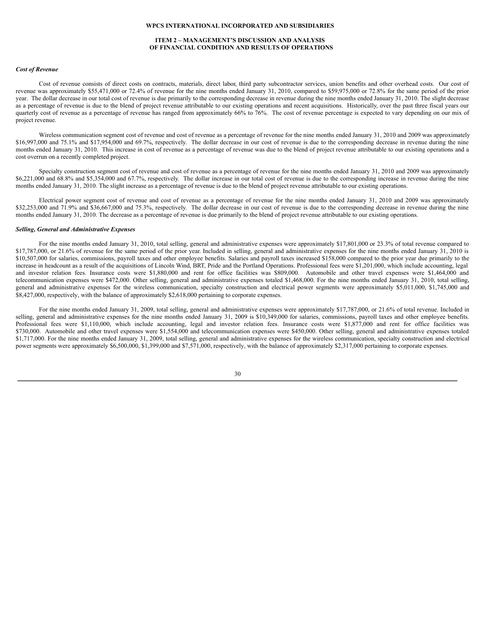### **ITEM 2 – MANAGEMENT'S DISCUSSION AND ANALYSIS OF FINANCIAL CONDITION AND RESULTS OF OPERATIONS**

#### *Cost of Revenue*

Cost of revenue consists of direct costs on contracts, materials, direct labor, third party subcontractor services, union benefits and other overhead costs. Our cost of revenue was approximately \$55,471,000 or 72.4% of revenue for the nine months ended January 31, 2010, compared to \$59,975,000 or 72.8% for the same period of the prior year. The dollar decrease in our total cost of revenue is due primarily to the corresponding decrease in revenue during the nine months ended January 31, 2010. The slight decrease as a percentage of revenue is due to the blend of project revenue attributable to our existing operations and recent acquisitions. Historically, over the past three fiscal years our quarterly cost of revenue as a percentage of revenue has ranged from approximately 66% to 76%. The cost of revenue percentage is expected to vary depending on our mix of project revenue.

Wireless communication segment cost of revenue and cost of revenue as a percentage of revenue for the nine months ended January 31, 2010 and 2009 was approximately \$16,997,000 and 75.1% and \$17,954,000 and 69.7%, respectively. The dollar decrease in our cost of revenue is due to the corresponding decrease in revenue during the nine months ended January 31, 2010. This increase in cost of revenue as a percentage of revenue was due to the blend of project revenue attributable to our existing operations and a cost overrun on a recently completed project.

Specialty construction segment cost of revenue and cost of revenue as a percentage of revenue for the nine months ended January 31, 2010 and 2009 was approximately \$6,221,000 and 68.8% and \$5,354,000 and 67.7%, respectively. The dollar increase in our total cost of revenue is due to the corresponding increase in revenue during the nine months ended January 31, 2010. The slight increase as a percentage of revenue is due to the blend of project revenue attributable to our existing operations.

Electrical power segment cost of revenue and cost of revenue as a percentage of revenue for the nine months ended January 31, 2010 and 2009 was approximately \$32,253,000 and 71.9% and \$36,667,000 and 75.3%, respectively. The dollar decrease in our cost of revenue is due to the corresponding decrease in revenue during the nine months ended January 31, 2010. The decrease as a percentage of revenue is due primarily to the blend of project revenue attributable to our existing operations.

#### *Selling, General and Administrative Expenses*

For the nine months ended January 31, 2010, total selling, general and administrative expenses were approximately \$17,801,000 or 23.3% of total revenue compared to \$17,787,000, or 21.6% of revenue for the same period of the prior year. Included in selling, general and administrative expenses for the nine months ended January 31, 2010 is \$10,507,000 for salaries, commissions, payroll taxes and other employee benefits. Salaries and payroll taxes increased \$158,000 compared to the prior year due primarily to the increase in headcount as a result of the acquisitions of Lincoln Wind, BRT, Pride and the Portland Operations. Professional fees were \$1,201,000, which include accounting, legal and investor relation fees. Insurance costs were \$1,880,000 and rent for office facilities was \$809,000. Automobile and other travel expenses were \$1,464,000 and telecommunication expenses were \$472,000. Other selling, general and administrative expenses totaled \$1,468,000. For the nine months ended January 31, 2010, total selling, general and administrative expenses for the wireless communication, specialty construction and electrical power segments were approximately \$5,011,000, \$1,745,000 and \$8,427,000, respectively, with the balance of approximately \$2,618,000 pertaining to corporate expenses.

For the nine months ended January 31, 2009, total selling, general and administrative expenses were approximately \$17,787,000, or 21.6% of total revenue. Included in selling, general and administrative expenses for the nine months ended January 31, 2009 is \$10,349,000 for salaries, commissions, payroll taxes and other employee benefits. Professional fees were \$1,110,000, which include accounting, legal and investor relation fees. Insurance costs were \$1,877,000 and rent for office facilities was \$730,000. Automobile and other travel expenses were \$1,554,000 and telecommunication expenses were \$450,000. Other selling, general and administrative expenses totaled \$1,717,000. For the nine months ended January 31, 2009, total selling, general and administrative expenses for the wireless communication, specialty construction and electrical power segments were approximately \$6,500,000, \$1,399,000 and \$7,571,000, respectively, with the balance of approximately \$2,317,000 pertaining to corporate expenses.

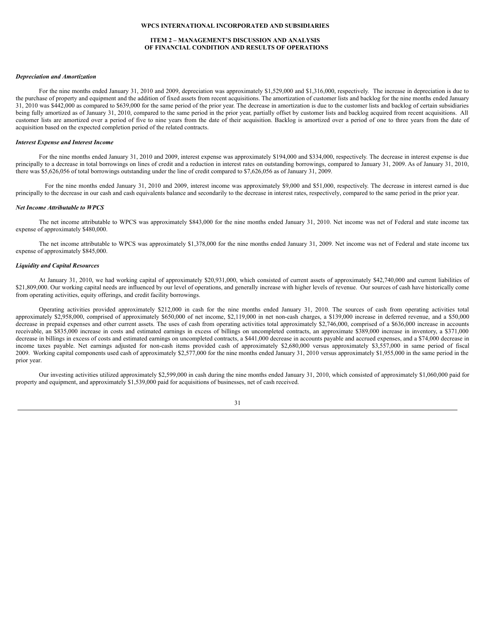### **ITEM 2 – MANAGEMENT'S DISCUSSION AND ANALYSIS OF FINANCIAL CONDITION AND RESULTS OF OPERATIONS**

#### *Depreciation and Amortization*

For the nine months ended January 31, 2010 and 2009, depreciation was approximately \$1,529,000 and \$1,316,000, respectively. The increase in depreciation is due to the purchase of property and equipment and the addition of fixed assets from recent acquisitions. The amortization of customer lists and backlog for the nine months ended January 31, 2010 was \$442,000 as compared to \$639,000 for the same period of the prior year. The decrease in amortization is due to the customer lists and backlog of certain subsidiaries being fully amortized as of January 31, 2010, compared to the same period in the prior year, partially offset by customer lists and backlog acquired from recent acquisitions. All customer lists are amortized over a period of five to nine years from the date of their acquisition. Backlog is amortized over a period of one to three years from the date of acquisition based on the expected completion period of the related contracts.

#### *Interest Expense and Interest Income*

For the nine months ended January 31, 2010 and 2009, interest expense was approximately \$194,000 and \$334,000, respectively. The decrease in interest expense is due principally to a decrease in total borrowings on lines of credit and a reduction in interest rates on outstanding borrowings, compared to January 31, 2009. As of January 31, 2010, there was \$5,626,056 of total borrowings outstanding under the line of credit compared to \$7,626,056 as of January 31, 2009.

For the nine months ended January 31, 2010 and 2009, interest income was approximately \$9,000 and \$51,000, respectively. The decrease in interest earned is due principally to the decrease in our cash and cash equivalents balance and secondarily to the decrease in interest rates, respectively, compared to the same period in the prior year.

#### *Net Income Attributable to WPCS*

The net income attributable to WPCS was approximately \$843,000 for the nine months ended January 31, 2010. Net income was net of Federal and state income tax expense of approximately \$480,000.

The net income attributable to WPCS was approximately \$1,378,000 for the nine months ended January 31, 2009. Net income was net of Federal and state income tax expense of approximately \$845,000.

#### *Liquidity and Capital Resources*

At January 31, 2010, we had working capital of approximately \$20,931,000, which consisted of current assets of approximately \$42,740,000 and current liabilities of \$21,809,000. Our working capital needs are influenced by our level of operations, and generally increase with higher levels of revenue. Our sources of cash have historically come from operating activities, equity offerings, and credit facility borrowings.

Operating activities provided approximately \$212,000 in cash for the nine months ended January 31, 2010. The sources of cash from operating activities total approximately \$2,958,000, comprised of approximately \$650,000 of net income, \$2,119,000 in net non-cash charges, a \$139,000 increase in deferred revenue, and a \$50,000 decrease in prepaid expenses and other current assets. The uses of cash from operating activities total approximately \$2,746,000, comprised of a \$636,000 increase in accounts receivable, an \$835,000 increase in costs and estimated earnings in excess of billings on uncompleted contracts, an approximate \$389,000 increase in inventory, a \$371,000 decrease in billings in excess of costs and estimated earnings on uncompleted contracts, a \$441,000 decrease in accounts payable and accrued expenses, and a \$74,000 decrease in income taxes payable. Net earnings adjusted for non-cash items provided cash of approximately \$2,680,000 versus approximately \$3,557,000 in same period of fiscal 2009. Working capital components used cash of approximately \$2,577,000 for the nine months ended January 31, 2010 versus approximately \$1,955,000 in the same period in the prior year.

Our investing activities utilized approximately \$2,599,000 in cash during the nine months ended January 31, 2010, which consisted of approximately \$1,060,000 paid for property and equipment, and approximately \$1,539,000 paid for acquisitions of businesses, net of cash received.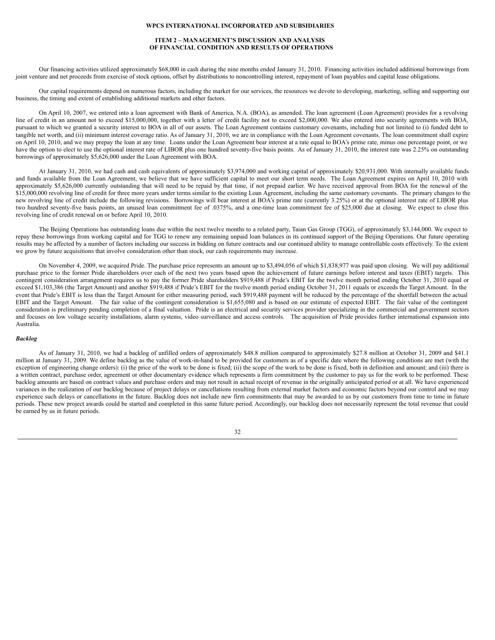### **ITEM 2 – MANAGEMENT'S DISCUSSION AND ANALYSIS OF FINANCIAL CONDITION AND RESULTS OF OPERATIONS**

Our financing activities utilized approximately \$68,000 in cash during the nine months ended January 31, 2010. Financing activities included additional borrowings from joint venture and net proceeds from exercise of stock options, offset by distributions to noncontrolling interest, repayment of loan payables and capital lease obligations.

Our capital requirements depend on numerous factors, including the market for our services, the resources we devote to developing, marketing, selling and supporting our business, the timing and extent of establishing additional markets and other factors.

On April 10, 2007, we entered into a loan agreement with Bank of America, N.A. (BOA), as amended. The loan agreement (Loan Agreement) provides for a revolving line of credit in an amount not to exceed \$15,000,000, together with a letter of credit facility not to exceed \$2,000,000. We also entered into security agreements with BOA, pursuant to which we granted a security interest to BOA in all of our assets. The Loan Agreement contains customary covenants, including but not limited to (i) funded debt to tangible net worth, and (ii) minimum interest coverage ratio. As of January 31, 2010, we are in compliance with the Loan Agreement covenants. The loan commitment shall expire on April 10, 2010, and we may prepay the loan at any time. Loans under the Loan Agreement bear interest at a rate equal to BOA's prime rate, minus one percentage point, or we have the option to elect to use the optional interest rate of LIBOR plus one hundred seventy-five basis points. As of January 31, 2010, the interest rate was 2.25% on outstanding borrowings of approximately \$5,626,000 under the Loan Agreement with BOA.

At January 31, 2010, we had cash and cash equivalents of approximately \$3,974,000 and working capital of approximately \$20,931,000. With internally available funds and funds available from the Loan Agreement, we believe that we have sufficient capital to meet our short term needs. The Loan Agreement expires on April 10, 2010 with approximately \$5,626,000 currently outstanding that will need to be repaid by that time, if not prepaid earlier. We have received approval from BOA for the renewal of the \$15,000,000 revolving line of credit for three more years under terms similar to the existing Loan Agreement, including the same customary covenants. The primary changes to the new revolving line of credit include the following revisions. Borrowings will bear interest at BOA's prime rate (currently 3.25%) or at the optional interest rate of LIBOR plus two hundred seventy-five basis points, an unused loan commitment fee of .0375%, and a one-time loan commitment fee of \$25,000 due at closing. We expect to close this revolving line of credit renewal on or before April 10, 2010.

The Beijing Operations has outstanding loans due within the next twelve months to a related party, Taian Gas Group (TGG), of approximately \$3,144,000. We expect to repay these borrowings from working capital and for TGG to renew any remaining unpaid loan balances in its continued support of the Beijing Operations. Our future operating results may be affected by a number of factors including our success in bidding on future contracts and our continued ability to manage controllable costs effectively. To the extent we grow by future acquisitions that involve consideration other than stock, our cash requirements may increase.

On November 4, 2009, we acquired Pride. The purchase price represents an amount up to \$3,494,056 of which \$1,838,977 was paid upon closing. We will pay additional purchase price to the former Pride shareholders over each of the next two years based upon the achievement of future earnings before interest and taxes (EBIT) targets. This contingent consideration arrangement requires us to pay the former Pride shareholders \$919,488 if Pride's EBIT for the twelve month period ending October 31, 2010 equal or exceed \$1,103,386 (the Target Amount) and another \$919,488 if Pride's EBIT for the twelve month period ending October 31, 2011 equals or exceeds the Target Amount. In the event that Pride's EBIT is less than the Target Amount for either measuring period, such \$919,488 payment will be reduced by the percentage of the shortfall between the actual EBIT and the Target Amount. The fair value of the contingent consideration is \$1,655,080 and is based on our estimate of expected EBIT. The fair value of the contingent consideration is preliminary pending completion of a final valuation. Pride is an electrical and security services provider specializing in the commercial and government sectors and focuses on low voltage security installations, alarm systems, video surveillance and access controls. The acquisition of Pride provides further international expansion into Australia.

#### *Backlog*

As of January 31, 2010, we had a backlog of unfilled orders of approximately \$48.8 million compared to approximately \$27.8 million at October 31, 2009 and \$41.1 million at January 31, 2009. We define backlog as the value of work-in-hand to be provided for customers as of a specific date where the following conditions are met (with the exception of engineering change orders): (i) the price of the work to be done is fixed; (ii) the scope of the work to be done is fixed, both in definition and amount; and (iii) there is a written contract, purchase order, agreement or other documentary evidence which represents a firm commitment by the customer to pay us for the work to be performed. These backlog amounts are based on contract values and purchase orders and may not result in actual receipt of revenue in the originally anticipated period or at all. We have experienced variances in the realization of our backlog because of project delays or cancellations resulting from external market factors and economic factors beyond our control and we may experience such delays or cancellations in the future. Backlog does not include new firm commitments that may be awarded to us by our customers from time to time in future periods. These new project awards could be started and completed in this same future period. Accordingly, our backlog does not necessarily represent the total revenue that could be earned by us in future periods.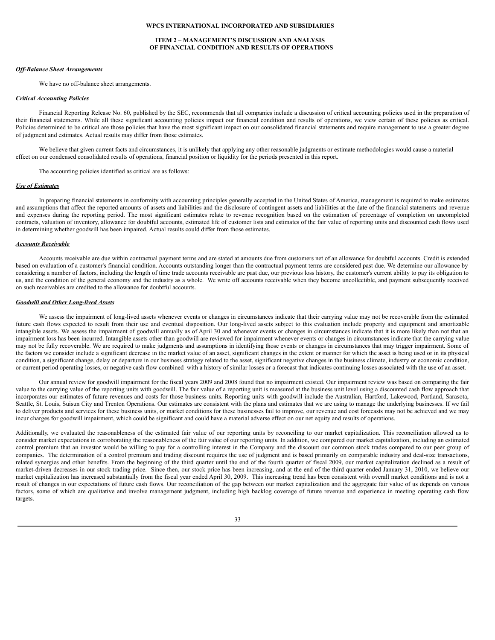### **ITEM 2 – MANAGEMENT'S DISCUSSION AND ANALYSIS OF FINANCIAL CONDITION AND RESULTS OF OPERATIONS**

#### *Of -Balance Sheet Arrangements*

We have no off-balance sheet arrangements.

#### *Critical Accounting Policies*

Financial Reporting Release No. 60, published by the SEC, recommends that all companies include a discussion of critical accounting policies used in the preparation of their financial statements. While all these significant accounting policies impact our financial condition and results of operations, we view certain of these policies as critical. Policies determined to be critical are those policies that have the most significant impact on our consolidated financial statements and require management to use a greater degree of judgment and estimates. Actual results may differ from those estimates.

We believe that given current facts and circumstances, it is unlikely that applying any other reasonable judgments or estimate methodologies would cause a material effect on our condensed consolidated results of operations, financial position or liquidity for the periods presented in this report.

The accounting policies identified as critical are as follows:

### *Use of Estimates*

In preparing financial statements in conformity with accounting principles generally accepted in the United States of America, management is required to make estimates and assumptions that affect the reported amounts of assets and liabilities and the disclosure of contingent assets and liabilities at the date of the financial statements and revenue and expenses during the reporting period. The most significant estimates relate to revenue recognition based on the estimation of percentage of completion on uncompleted contracts, valuation of inventory, allowance for doubtful accounts, estimated life of customer lists and estimates of the fair value of reporting units and discounted cash flows used in determining whether goodwill has been impaired. Actual results could differ from those estimates.

#### *Accounts Receivable*

Accounts receivable are due within contractual payment terms and are stated at amounts due from customers net of an allowance for doubtful accounts. Credit is extended based on evaluation of a customer's financial condition. Accounts outstanding longer than the contractual payment terms are considered past due. We determine our allowance by considering a number of factors, including the length of time trade accounts receivable are past due, our previous loss history, the customer's current ability to pay its obligation to us, and the condition of the general economy and the industry as a whole. We write off accounts receivable when they become uncollectible, and payment subsequently received on such receivables are credited to the allowance for doubtful accounts.

#### *Goodwill and Other Long-lived Assets*

We assess the impairment of long-lived assets whenever events or changes in circumstances indicate that their carrying value may not be recoverable from the estimated future cash flows expected to result from their use and eventual disposition. Our long-lived assets subject to this evaluation include property and equipment and amortizable intangible assets. We assess the impairment of goodwill annually as of April 30 and whenever events or changes in circumstances indicate that it is more likely than not that an impairment loss has been incurred. Intangible assets other than goodwill are reviewed for impairment whenever events or changes in circumstances indicate that the carrying value may not be fully recoverable. We are required to make judgments and assumptions in identifying those events or changes in circumstances that may trigger impairment. Some of the factors we consider include a significant decrease in the market value of an asset, significant changes in the extent or manner for which the asset is being used or in its physical condition, a significant change, delay or departure in our business strategy related to the asset, significant negative changes in the business climate, industry or economic condition, or current period operating losses, or negative cash flow combined with a history of similar losses or a forecast that indicates continuing losses associated with the use of an asset.

Our annual review for goodwill impairment for the fiscal years 2009 and 2008 found that no impairment existed. Our impairment review was based on comparing the fair value to the carrying value of the reporting units with goodwill. The fair value of a reporting unit is measured at the business unit level using a discounted cash flow approach that incorporates our estimates of future revenues and costs for those business units. Reporting units with goodwill include the Australian, Hartford, Lakewood, Portland, Sarasota, Seattle, St. Louis, Suisun City and Trenton Operations. Our estimates are consistent with the plans and estimates that we are using to manage the underlying businesses. If we fail to deliver products and services for these business units, or market conditions for these businesses fail to improve, our revenue and cost forecasts may not be achieved and we may incur charges for goodwill impairment, which could be significant and could have a material adverse effect on our net equity and results of operations.

Additionally, we evaluated the reasonableness of the estimated fair value of our reporting units by reconciling to our market capitalization. This reconciliation allowed us to consider market expectations in corroborating the reasonableness of the fair value of our reporting units. In addition, we compared our market capitalization, including an estimated control premium that an investor would be willing to pay for a controlling interest in the Company and the discount our common stock trades compared to our peer group of companies. The determination of a control premium and trading discount requires the use of judgment and is based primarily on comparable industry and deal-size transactions, related synergies and other benefits. From the beginning of the third quarter until the end of the fourth quarter of fiscal 2009, our market capitalization declined as a result of market-driven decreases in our stock trading price. Since then, our stock price has been increasing, and at the end of the third quarter ended January 31, 2010, we believe our market capitalization has increased substantially from the fiscal year ended April 30, 2009. This increasing trend has been consistent with overall market conditions and is not a result of changes in our expectations of future cash flows. Our reconciliation of the gap between our market capitalization and the aggregate fair value of us depends on various factors, some of which are qualitative and involve management judgment, including high backlog coverage of future revenue and experience in meeting operating cash flow targets.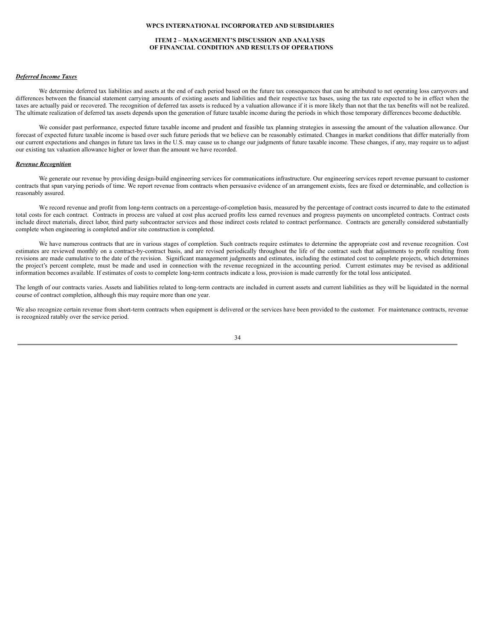### **ITEM 2 – MANAGEMENT'S DISCUSSION AND ANALYSIS OF FINANCIAL CONDITION AND RESULTS OF OPERATIONS**

### *Deferred Income Taxes*

We determine deferred tax liabilities and assets at the end of each period based on the future tax consequences that can be attributed to net operating loss carryovers and differences between the financial statement carrying amounts of existing assets and liabilities and their respective tax bases, using the tax rate expected to be in effect when the taxes are actually paid or recovered. The recognition of deferred tax assets is reduced by a valuation allowance if it is more likely than not that the tax benefits will not be realized. The ultimate realization of deferred tax assets depends upon the generation of future taxable income during the periods in which those temporary differences become deductible.

We consider past performance, expected future taxable income and prudent and feasible tax planning strategies in assessing the amount of the valuation allowance. Our forecast of expected future taxable income is based over such future periods that we believe can be reasonably estimated. Changes in market conditions that differ materially from our current expectations and changes in future tax laws in the U.S. may cause us to change our judgments of future taxable income. These changes, if any, may require us to adjust our existing tax valuation allowance higher or lower than the amount we have recorded.

### *Revenue Recognition*

We generate our revenue by providing design-build engineering services for communications infrastructure. Our engineering services report revenue pursuant to customer contracts that span varying periods of time. We report revenue from contracts when persuasive evidence of an arrangement exists, fees are fixed or determinable, and collection is reasonably assured.

We record revenue and profit from long-term contracts on a percentage-of-completion basis, measured by the percentage of contract costs incurred to date to the estimated total costs for each contract. Contracts in process are valued at cost plus accrued profits less earned revenues and progress payments on uncompleted contracts. Contract costs include direct materials, direct labor, third party subcontractor services and those indirect costs related to contract performance. Contracts are generally considered substantially complete when engineering is completed and/or site construction is completed.

We have numerous contracts that are in various stages of completion. Such contracts require estimates to determine the appropriate cost and revenue recognition. Cost estimates are reviewed monthly on a contract-by-contract basis, and are revised periodically throughout the life of the contract such that adjustments to profit resulting from revisions are made cumulative to the date of the revision. Significant management judgments and estimates, including the estimated cost to complete projects, which determines the project's percent complete, must be made and used in connection with the revenue recognized in the accounting period. Current estimates may be revised as additional information becomes available. If estimates of costs to complete long-term contracts indicate a loss, provision is made currently for the total loss anticipated.

The length of our contracts varies. Assets and liabilities related to long-term contracts are included in current assets and current liabilities as they will be liquidated in the normal course of contract completion, although this may require more than one year.

We also recognize certain revenue from short-term contracts when equipment is delivered or the services have been provided to the customer. For maintenance contracts, revenue is recognized ratably over the service period.

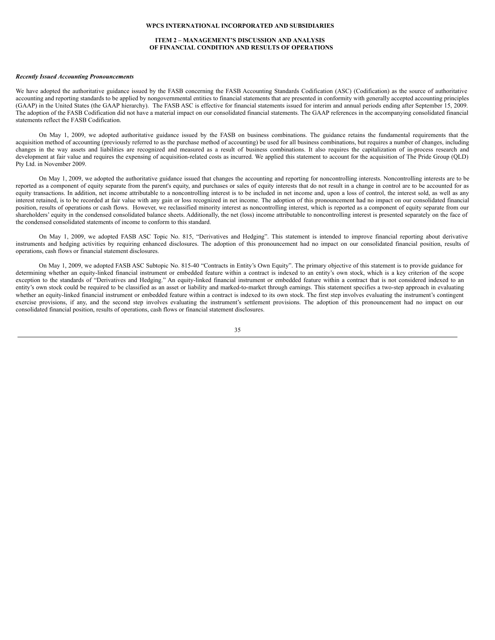### **ITEM 2 – MANAGEMENT'S DISCUSSION AND ANALYSIS OF FINANCIAL CONDITION AND RESULTS OF OPERATIONS**

### *Recently Issued Accounting Pronouncements*

We have adopted the authoritative guidance issued by the FASB concerning the FASB Accounting Standards Codification (ASC) (Codification) as the source of authoritative accounting and reporting standards to be applied by nongovernmental entities to financial statements that are presented in conformity with generally accepted accounting principles (GAAP) in the United States (the GAAP hierarchy). The FASB ASC is effective for financial statements issued for interim and annual periods ending after September 15, 2009. The adoption of the FASB Codification did not have a material impact on our consolidated financial statements. The GAAP references in the accompanying consolidated financial statements reflect the FASB Codification.

On May 1, 2009, we adopted authoritative guidance issued by the FASB on business combinations. The guidance retains the fundamental requirements that the acquisition method of accounting (previously referred to as the purchase method of accounting) be used for all business combinations, but requires a number of changes, including changes in the way assets and liabilities are recognized and measured as a result of business combinations. It also requires the capitalization of in-process research and development at fair value and requires the expensing of acquisition-related costs as incurred. We applied this statement to account for the acquisition of The Pride Group (QLD) Pty Ltd. in November 2009.

On May 1, 2009, we adopted the authoritative guidance issued that changes the accounting and reporting for noncontrolling interests. Noncontrolling interests are to be reported as a component of equity separate from the parent's equity, and purchases or sales of equity interests that do not result in a change in control are to be accounted for as equity transactions. In addition, net income attributable to a noncontrolling interest is to be included in net income and, upon a loss of control, the interest sold, as well as any interest retained, is to be recorded at fair value with any gain or loss recognized in net income. The adoption of this pronouncement had no impact on our consolidated financial position, results of operations or cash flows. However, we reclassified minority interest as noncontrolling interest, which is reported as a component of equity separate from our shareholders' equity in the condensed consolidated balance sheets. Additionally, the net (loss) income attributable to noncontrolling interest is presented separately on the face of the condensed consolidated statements of income to conform to this standard.

On May 1, 2009, we adopted FASB ASC Topic No. 815, "Derivatives and Hedging". This statement is intended to improve financial reporting about derivative instruments and hedging activities by requiring enhanced disclosures. The adoption of this pronouncement had no impact on our consolidated financial position, results of operations, cash flows or financial statement disclosures.

On May 1, 2009, we adopted FASB ASC Subtopic No. 815-40 "Contracts in Entity's Own Equity". The primary objective of this statement is to provide guidance for determining whether an equity-linked financial instrument or embedded feature within a contract is indexed to an entity's own stock, which is a key criterion of the scope exception to the standards of "Derivatives and Hedging." An equity-linked financial instrument or embedded feature within a contract that is not considered indexed to an entity's own stock could be required to be classified as an asset or liability and marked-to-market through earnings. This statement specifies a two-step approach in evaluating whether an equity-linked financial instrument or embedded feature within a contract is indexed to its own stock. The first step involves evaluating the instrument's contingent exercise provisions, if any, and the second step involves evaluating the instrument's settlement provisions. The adoption of this pronouncement had no impact on our consolidated financial position, results of operations, cash flows or financial statement disclosures.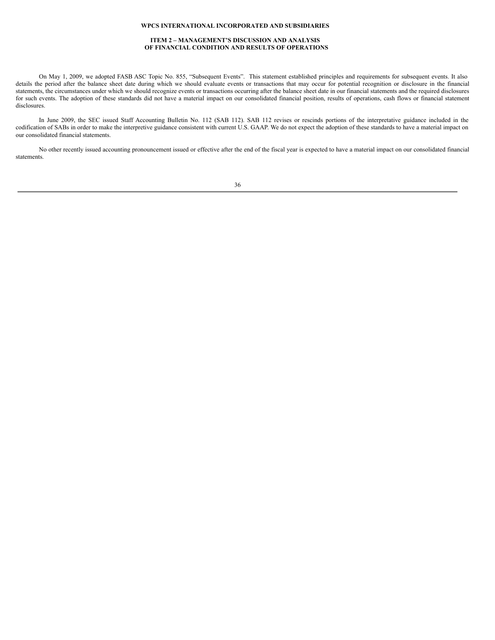### **ITEM 2 – MANAGEMENT'S DISCUSSION AND ANALYSIS OF FINANCIAL CONDITION AND RESULTS OF OPERATIONS**

On May 1, 2009, we adopted FASB ASC Topic No. 855, "Subsequent Events". This statement established principles and requirements for subsequent events. It also details the period after the balance sheet date during which we should evaluate events or transactions that may occur for potential recognition or disclosure in the financial statements, the circumstances under which we should recognize events or transactions occurring after the balance sheet date in our financial statements and the required disclosures for such events. The adoption of these standards did not have a material impact on our consolidated financial position, results of operations, cash flows or financial statement **disclosures** 

In June 2009, the SEC issued Staff Accounting Bulletin No. 112 (SAB 112). SAB 112 revises or rescinds portions of the interpretative guidance included in the codification of SABs in order to make the interpretive guidance consistent with current U.S. GAAP. We do not expect the adoption of these standards to have a material impact on our consolidated financial statements.

No other recently issued accounting pronouncement issued or effective after the end of the fiscal year is expected to have a material impact on our consolidated financial statements.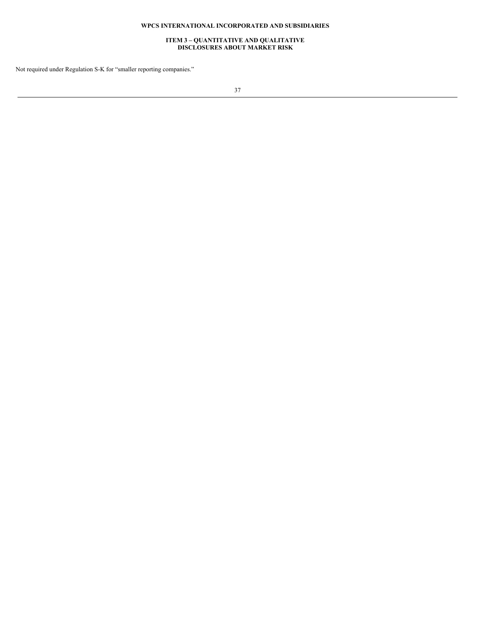#### **ITEM 3 – QUANTITATIVE AND QUALITATIVE DISCLOSURES ABOUT MARKET RISK**

Not required under Regulation S-K for "smaller reporting companies."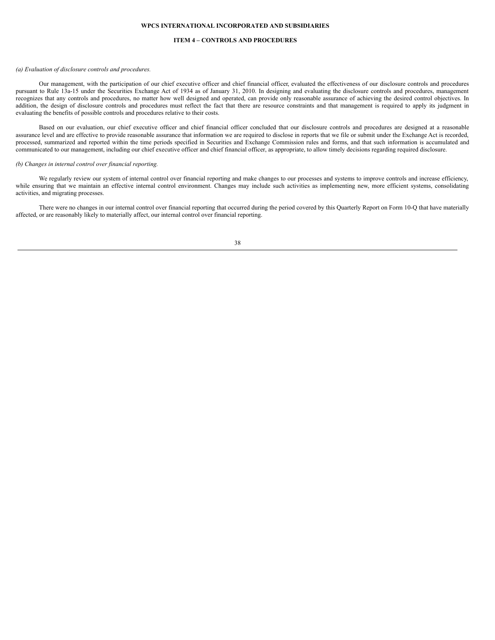#### **ITEM 4 – CONTROLS AND PROCEDURES**

#### *(a) Evaluation of disclosure controls and procedures.*

Our management, with the participation of our chief executive officer and chief financial officer, evaluated the effectiveness of our disclosure controls and procedures pursuant to Rule 13a-15 under the Securities Exchange Act of 1934 as of January 31, 2010. In designing and evaluating the disclosure controls and procedures, management recognizes that any controls and procedures, no matter how well designed and operated, can provide only reasonable assurance of achieving the desired control objectives. In addition, the design of disclosure controls and procedures must reflect the fact that there are resource constraints and that management is required to apply its judgment in evaluating the benefits of possible controls and procedures relative to their costs.

Based on our evaluation, our chief executive officer and chief financial officer concluded that our disclosure controls and procedures are designed at a reasonable assurance level and are effective to provide reasonable assurance that information we are required to disclose in reports that we file or submit under the Exchange Act is recorded, processed, summarized and reported within the time periods specified in Securities and Exchange Commission rules and forms, and that such information is accumulated and communicated to our management, including our chief executive officer and chief financial officer, as appropriate, to allow timely decisions regarding required disclosure.

### *(b) Changes in internal control over financial reporting.*

We regularly review our system of internal control over financial reporting and make changes to our processes and systems to improve controls and increase efficiency, while ensuring that we maintain an effective internal control environment. Changes may include such activities as implementing new, more efficient systems, consolidating activities, and migrating processes.

There were no changes in our internal control over financial reporting that occurred during the period covered by this Quarterly Report on Form 10-Q that have materially affected, or are reasonably likely to materially affect, our internal control over financial reporting.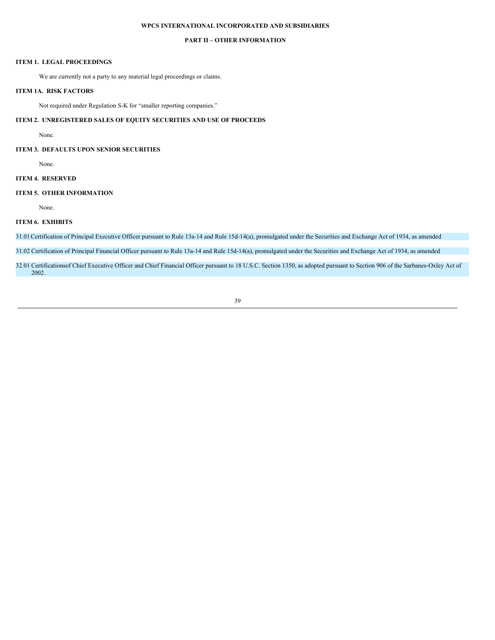### **PART II – OTHER INFORMATION**

### **ITEM 1. LEGAL PROCEEDINGS**

We are currently not a party to any material legal proceedings or claims.

#### **ITEM 1A. RISK FACTORS**

Not required under Regulation S-K for "smaller reporting companies."

# **ITEM 2. UNREGISTERED SALES OF EQUITY SECURITIES AND USE OF PROCEEDS**

None.

#### **ITEM 3. DEFAULTS UPON SENIOR SECURITIES**

None.

# **ITEM 4. RESERVED**

#### **ITEM 5. OTHER INFORMATION**

None.

### **ITEM 6. EXHIBITS**

31.01Certification of Principal Executive Officer pursuant to Rule 13a-14 and Rule 15d-14(a), promulgated under the Securities and Exchange Act of 1934, as amended

31.02 Certification of Principal Financial Officer pursuant to Rule 13a-14 and Rule 15d-14(a), promulgated under the Securities and Exchange Act of 1934, as amended

32.01 Certificationsof Chief Executive Officer and Chief Financial Officer pursuant to 18 U.S.C. Section 1350, as adopted pursuant to Section 906 of the Sarbanes-Oxley Act of 2002.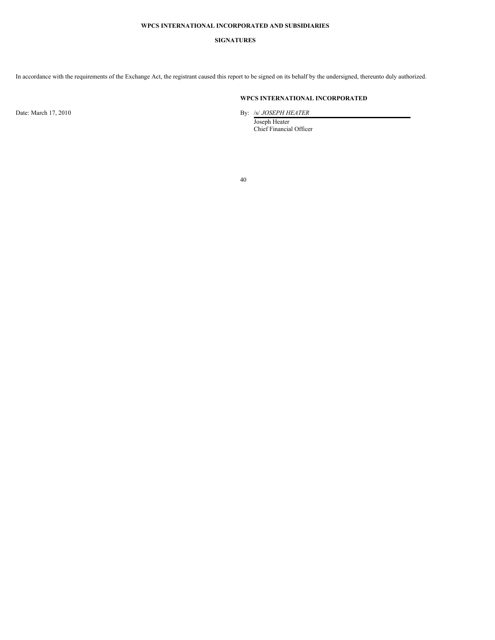### **SIGNATURES**

In accordance with the requirements of the Exchange Act, the registrant caused this report to be signed on its behalf by the undersigned, thereunto duly authorized.

# **WPCS INTERNATIONAL INCORPORATED**

Date: March 17, 2010 By: /s/ *JOSEPH HEATER* 

Joseph Heater Chief Financial Officer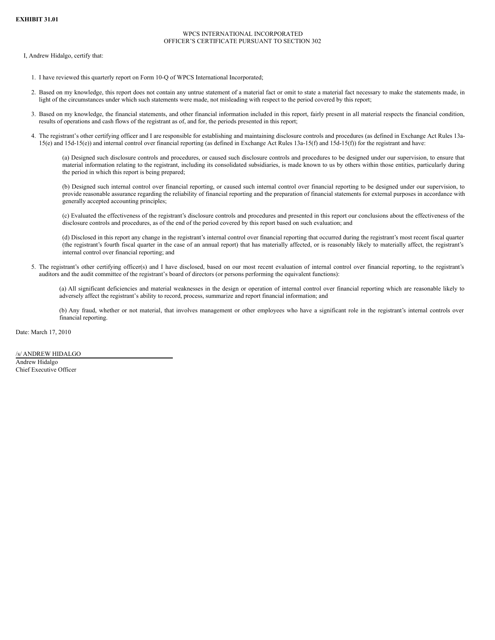### WPCS INTERNATIONAL INCORPORATED OFFICER'S CERTIFICATE PURSUANT TO SECTION 302

I, Andrew Hidalgo, certify that:

- 1. I have reviewed this quarterly report on Form 10-Q of WPCS International Incorporated;
- 2. Based on my knowledge, this report does not contain any untrue statement of a material fact or omit to state a material fact necessary to make the statements made, in light of the circumstances under which such statements were made, not misleading with respect to the period covered by this report;
- 3. Based on my knowledge, the financial statements, and other financial information included in this report, fairly present in all material respects the financial condition, results of operations and cash flows of the registrant as of, and for, the periods presented in this report;
- 4. The registrant's other certifying officer and I are responsible for establishing and maintaining disclosure controls and procedures (as defined in Exchange Act Rules 13a-15(e) and 15d-15(e)) and internal control over financial reporting (as defined in Exchange Act Rules 13a-15(f) and 15d-15(f)) for the registrant and have:

(a) Designed such disclosure controls and procedures, or caused such disclosure controls and procedures to be designed under our supervision, to ensure that material information relating to the registrant, including its consolidated subsidiaries, is made known to us by others within those entities, particularly during the period in which this report is being prepared;

(b) Designed such internal control over financial reporting, or caused such internal control over financial reporting to be designed under our supervision, to provide reasonable assurance regarding the reliability of financial reporting and the preparation of financial statements for external purposes in accordance with generally accepted accounting principles;

(c) Evaluated the effectiveness of the registrant's disclosure controls and procedures and presented in this report our conclusions about the effectiveness of the disclosure controls and procedures, as of the end of the period covered by this report based on such evaluation; and

(d) Disclosed in this report any change in the registrant's internal control over financial reporting that occurred during the registrant's most recent fiscal quarter (the registrant's fourth fiscal quarter in the case of an annual report) that has materially affected, or is reasonably likely to materially affect, the registrant's internal control over financial reporting; and

5. The registrant's other certifying officer(s) and I have disclosed, based on our most recent evaluation of internal control over financial reporting, to the registrant's auditors and the audit committee of the registrant's board of directors (or persons performing the equivalent functions):

(a) All significant deficiencies and material weaknesses in the design or operation of internal control over financial reporting which are reasonable likely to adversely affect the registrant's ability to record, process, summarize and report financial information; and

(b) Any fraud, whether or not material, that involves management or other employees who have a significant role in the registrant's internal controls over financial reporting.

Date: March 17, 2010

/s/ ANDREW HIDALGO Andrew Hidalgo

Chief Executive Officer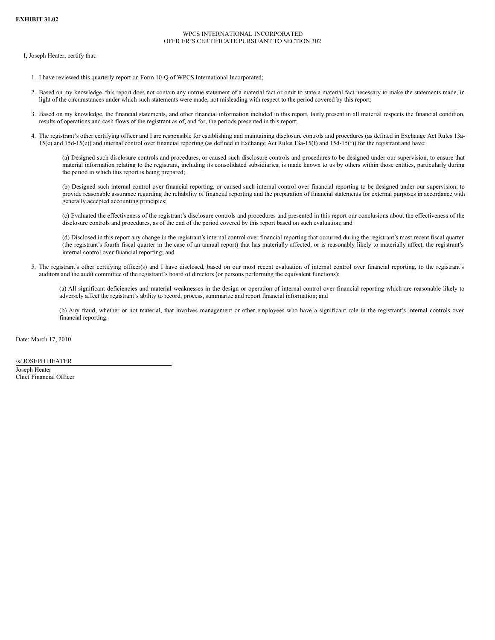### WPCS INTERNATIONAL INCORPORATED OFFICER'S CERTIFICATE PURSUANT TO SECTION 302

I, Joseph Heater, certify that:

- 1. I have reviewed this quarterly report on Form 10-Q of WPCS International Incorporated;
- 2. Based on my knowledge, this report does not contain any untrue statement of a material fact or omit to state a material fact necessary to make the statements made, in light of the circumstances under which such statements were made, not misleading with respect to the period covered by this report;
- 3. Based on my knowledge, the financial statements, and other financial information included in this report, fairly present in all material respects the financial condition, results of operations and cash flows of the registrant as of, and for, the periods presented in this report;
- 4. The registrant's other certifying officer and I are responsible for establishing and maintaining disclosure controls and procedures (as defined in Exchange Act Rules 13a-15(e) and 15d-15(e)) and internal control over financial reporting (as defined in Exchange Act Rules 13a-15(f) and 15d-15(f)) for the registrant and have:

(a) Designed such disclosure controls and procedures, or caused such disclosure controls and procedures to be designed under our supervision, to ensure that material information relating to the registrant, including its consolidated subsidiaries, is made known to us by others within those entities, particularly during the period in which this report is being prepared;

(b) Designed such internal control over financial reporting, or caused such internal control over financial reporting to be designed under our supervision, to provide reasonable assurance regarding the reliability of financial reporting and the preparation of financial statements for external purposes in accordance with generally accepted accounting principles;

(c) Evaluated the effectiveness of the registrant's disclosure controls and procedures and presented in this report our conclusions about the effectiveness of the disclosure controls and procedures, as of the end of the period covered by this report based on such evaluation; and

(d) Disclosed in this report any change in the registrant's internal control over financial reporting that occurred during the registrant's most recent fiscal quarter (the registrant's fourth fiscal quarter in the case of an annual report) that has materially affected, or is reasonably likely to materially affect, the registrant's internal control over financial reporting; and

5. The registrant's other certifying officer(s) and I have disclosed, based on our most recent evaluation of internal control over financial reporting, to the registrant's auditors and the audit committee of the registrant's board of directors (or persons performing the equivalent functions):

(a) All significant deficiencies and material weaknesses in the design or operation of internal control over financial reporting which are reasonable likely to adversely affect the registrant's ability to record, process, summarize and report financial information; and

(b) Any fraud, whether or not material, that involves management or other employees who have a significant role in the registrant's internal controls over financial reporting.

Date: March 17, 2010

/s/ JOSEPH HEATER Joseph Heater Chief Financial Officer